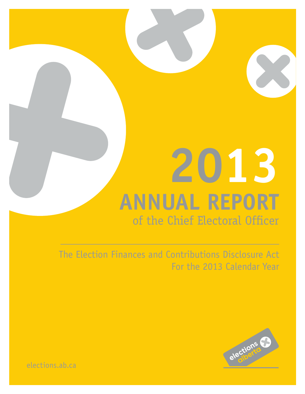# **2013 Annual Report** of the Chief Electoral Officer

The Election Finances and Contributions Disclosure Act For the 2013 Calendar Year



elections.ab.ca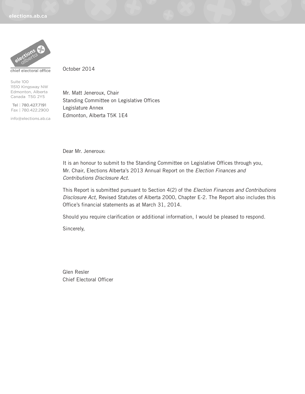

chief electoral office

Suite 100 11510 Kingsway NW Edmonton, Alberta Canada T5G 2Y5

Tel | 780.427.7191 Fax | 780.422.2900

info@elections.ab.ca

October 2014

Mr. Matt Jeneroux, Chair Standing Committee on Legislative Offices Legislature Annex Edmonton, Alberta T5K 1E4

Dear Mr. Jeneroux:

It is an honour to submit to the Standing Committee on Legislative Offices through you, Mr. Chair, Elections Alberta's 2013 Annual Report on the *Election Finances and Contributions Disclosure Act*.

This Report is submitted pursuant to Section 4(2) of the *Election Finances and Contributions Disclosure Act*, Revised Statutes of Alberta 2000, Chapter E-2. The Report also includes this Office's financial statements as at March 31, 2014.

Should you require clarification or additional information, I would be pleased to respond.

Sincerely,

Glen Resler Chief Electoral Officer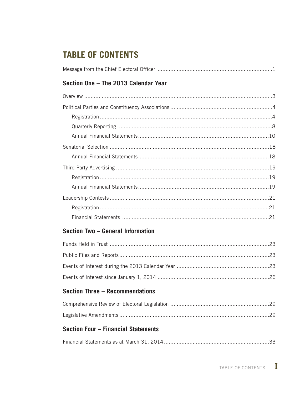## **TABLE OF CONTENTS**

| Section One - The 2013 Calendar Year |  |
|--------------------------------------|--|
|                                      |  |
|                                      |  |
|                                      |  |
|                                      |  |
|                                      |  |
|                                      |  |
|                                      |  |
|                                      |  |
|                                      |  |
|                                      |  |
|                                      |  |
|                                      |  |
|                                      |  |

## Section Two - General Information

## **Section Three - Recommendations**

#### Section Four - Financial Statements

|--|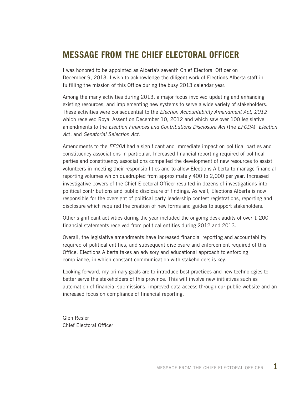## **MESSAGE FROM THE CHIEF ELECTORAL OFFICER**

I was honored to be appointed as Alberta's seventh Chief Electoral Officer on December 9, 2013. I wish to acknowledge the diligent work of Elections Alberta staff in fulfilling the mission of this Office during the busy 2013 calendar year.

Among the many activities during 2013, a major focus involved updating and enhancing existing resources, and implementing new systems to serve a wide variety of stakeholders. These activities were consequential to the *Election Accountability Amendment Act, 2012* which received Royal Assent on December 10, 2012 and which saw over 100 legislative amendments to the *Election Finances and Contributions Disclosure Act* (the *EFCDA*), *Election Ac*t, and *Senatorial Selection Act.*

Amendments to the *EFCDA* had a significant and immediate impact on political parties and constituency associations in particular. Increased financial reporting required of political parties and constituency associations compelled the development of new resources to assist volunteers in meeting their responsibilities and to allow Elections Alberta to manage financial reporting volumes which quadrupled from approximately 400 to 2,000 per year. Increased investigative powers of the Chief Electoral Officer resulted in dozens of investigations into political contributions and public disclosure of findings. As well, Elections Alberta is now responsible for the oversight of political party leadership contest registrations, reporting and disclosure which required the creation of new forms and guides to support stakeholders.

Other significant activities during the year included the ongoing desk audits of over 1,200 financial statements received from political entities during 2012 and 2013.

Overall, the legislative amendments have increased financial reporting and accountability required of political entities, and subsequent disclosure and enforcement required of this Office. Elections Alberta takes an advisory and educational approach to enforcing compliance, in which constant communication with stakeholders is key.

Looking forward, my primary goals are to introduce best practices and new technologies to better serve the stakeholders of this province. This will involve new initiatives such as automation of financial submissions, improved data access through our public website and an increased focus on compliance of financial reporting.

Glen Resler Chief Electoral Officer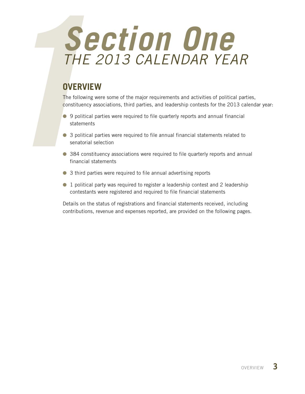# THE<br>
OVERVI<br>
The followin<br>
constituency<br>
9 politics<br>
statement<br>
3 apolitics<br>
8 384 cons<br>
financial<br>
8 3 third p *Section One THE 2013 CALENDAR YEAR*

## **OVERVIEW**

The following were some of the major requirements and activities of political parties, constituency associations, third parties, and leadership contests for the 2013 calendar year:

- 9 political parties were required to file quarterly reports and annual financial statements
- **●** 3 political parties were required to file annual financial statements related to senatorial selection
- 384 constituency associations were required to file quarterly reports and annual financial statements
- 3 third parties were required to file annual advertising reports
- **●** 1 political party was required to register a leadership contest and 2 leadership contestants were registered and required to file financial statements

Details on the status of registrations and financial statements received, including contributions, revenue and expenses reported, are provided on the following pages.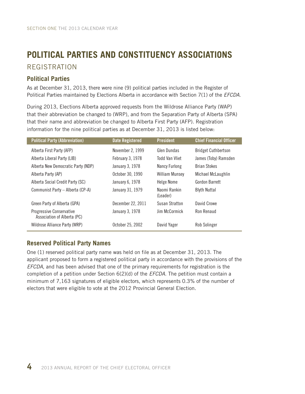# **POLITICAL PARTIES AND CONSTITUENCY ASSOCIATIONS**

#### REGISTRATION

#### **Political Parties**

ı

As at December 31, 2013, there were nine (9) political parties included in the Register of Political Parties maintained by Elections Alberta in accordance with Section 7(1) of the *EFCDA*.

During 2013, Elections Alberta approved requests from the Wildrose Alliance Party (WAP) that their abbreviation be changed to (WRP), and from the Separation Party of Alberta (SPA) that their name and abbreviation be changed to Alberta First Party (AFP). Registration information for the nine political parties as at December 31, 2013 is listed below:

| <b>Political Party (Abbreviation)</b>                          | <b>Date Registered</b> | <b>President</b>         | <b>Chief Financial Officer</b> |
|----------------------------------------------------------------|------------------------|--------------------------|--------------------------------|
| Alberta First Party (AFP)                                      | November 2, 1999       | Glen Dundas              | <b>Bridget Cuthbertson</b>     |
| Alberta Liberal Party (LIB)                                    | February 3, 1978       | <b>Todd Van Vliet</b>    | James (Toby) Ramsden           |
| Alberta New Democratic Party (NDP)                             | January 3, 1978        | Nancy Furlong            | <b>Brian Stokes</b>            |
| Alberta Party (AP)                                             | October 30, 1990       | <b>William Munsey</b>    | Michael McLaughlin             |
| Alberta Social Credit Party (SC)                               | January 6, 1978        | <b>Helge Nome</b>        | Gordon Barrett                 |
| Communist Party - Alberta (CP-A)                               | January 31, 1979       | Naomi Rankin<br>(Leader) | <b>Blyth Nuttal</b>            |
| Green Party of Alberta (GPA)                                   | December 22, 2011      | Susan Stratton           | David Crowe                    |
| <b>Progressive Conservative</b><br>Association of Alberta (PC) | January 3, 1978        | <b>Jim McCormick</b>     | Ron Renaud                     |
| Wildrose Alliance Party (WRP)                                  | October 25, 2002       | David Yager              | Rob Solinger                   |

#### **Reserved Political Party Names**

One (1) reserved political party name was held on file as at December 31, 2013. The applicant proposed to form a registered political party in accordance with the provisions of the *EFCDA*, and has been advised that one of the primary requirements for registration is the completion of a petition under Section 6(2)(d) of the *EFCDA*. The petition must contain a minimum of 7,163 signatures of eligible electors, which represents 0.3% of the number of electors that were eligible to vote at the 2012 Provincial General Election.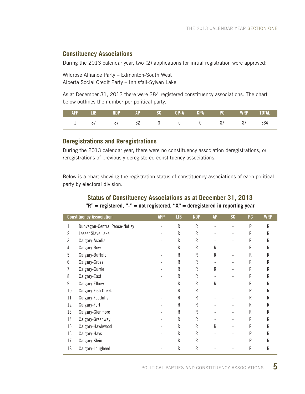#### **Constituency Associations**

During the 2013 calendar year, two (2) applications for initial registration were approved:

Wildrose Alliance Party – Edmonton-South West Alberta Social Credit Party – Innisfail-Sylvan Lake

As at December 31, 2013 there were 384 registered constituency associations. The chart below outlines the number per political party.

|  | AFP LIB NDP AP SC CP-A GPA PC WRP TOTAL |  |  |  |  |
|--|-----------------------------------------|--|--|--|--|
|  | 1 87 87 32 3 0 0 87 87 384              |  |  |  |  |

#### **Deregistrations and Reregistrations**

During the 2013 calendar year, there were no constituency association deregistrations, or reregistrations of previously deregistered constituency associations.

Below is a chart showing the registration status of constituency associations of each political party by electoral division.

#### **Status of Constituency Associations as at December 31, 2013 "R" = registered, "-" = not registered, "X" = deregistered in reporting year**

|                | <b>Constituency Association</b> | <b>AFP</b>               | <b>LIB</b>   | <b>NDP</b>   | <b>AP</b>                | <b>SC</b>                | <b>PC</b>   | <b>WRP</b>   |
|----------------|---------------------------------|--------------------------|--------------|--------------|--------------------------|--------------------------|-------------|--------------|
| 1              | Dunvegan-Central Peace-Notley   | $\overline{\phantom{a}}$ | $\mathsf{R}$ | $\mathsf{R}$ |                          |                          | R           | $\mathsf{R}$ |
| $\overline{2}$ | Lesser Slave Lake               | $\overline{\phantom{a}}$ | $\mathsf{R}$ | ${\sf R}$    | ۰                        | ۰                        | $\mathsf R$ | $\mathsf R$  |
| 3              | Calgary-Acadia                  | -                        | $\mathsf R$  | R            | $\overline{\phantom{0}}$ | $\overline{\phantom{0}}$ | ${\sf R}$   | ${\sf R}$    |
| 4              | Calgary-Bow                     | $\overline{\phantom{a}}$ | $\mathsf R$  | R            | $\mathsf R$              | $\overline{\phantom{0}}$ | ${\sf R}$   | ${\sf R}$    |
| 5              | Calgary-Buffalo                 | $\overline{\phantom{a}}$ | $\mathsf{R}$ | ${\sf R}$    | R                        | ÷,                       | ${\sf R}$   | ${\sf R}$    |
| 6              | Calgary-Cross                   |                          | $\mathsf{R}$ | ${\sf R}$    | $\overline{\phantom{0}}$ | ۰                        | ${\sf R}$   | ${\sf R}$    |
| 7              | Calgary-Currie                  |                          | $\mathsf{R}$ | ${\sf R}$    | $\mathsf R$              | ۰                        | ${\sf R}$   | $\mathsf R$  |
| 8              | Calgary-East                    | $\overline{\phantom{0}}$ | $\mathsf{R}$ | ${\sf R}$    |                          |                          | ${\sf R}$   | ${\sf R}$    |
| 9              | Calgary-Elbow                   | $\overline{\phantom{a}}$ | $\mathsf R$  | R            | R                        | ۰                        | ${\sf R}$   | ${\sf R}$    |
| 10             | Calgary-Fish Creek              | $\overline{\phantom{a}}$ | $\mathsf R$  | R            | $\overline{\phantom{0}}$ | ۰                        | ${\sf R}$   | ${\sf R}$    |
| 11             | Calgary-Foothills               |                          | R            | R            |                          | ÷,                       | R           | ${\sf R}$    |
| 12             | Calgary-Fort                    | $\overline{\phantom{a}}$ | $\mathsf{R}$ | $\mathsf{R}$ |                          | ۰                        | ${\sf R}$   | ${\sf R}$    |
| 13             | Calgary-Glenmore                |                          | $\mathsf{R}$ | $\mathsf{R}$ |                          |                          | R           | ${\sf R}$    |
| 14             | Calgary-Greenway                | $\overline{\phantom{0}}$ | $\mathsf R$  | ${\sf R}$    |                          | ۰                        | ${\sf R}$   | ${\sf R}$    |
| 15             | Calgary-Hawkwood                | $\overline{\phantom{a}}$ | $\mathsf R$  | R            | R                        | ۰                        | ${\sf R}$   | ${\sf R}$    |
| 16             | Calgary-Hays                    |                          | $\mathsf R$  | R            | $\overline{\phantom{0}}$ | $\overline{\phantom{0}}$ | ${\sf R}$   | ${\sf R}$    |
| 17             | Calgary-Klein                   |                          | $\mathsf{R}$ | $\mathsf{R}$ |                          | ۰                        | ${\sf R}$   | ${\sf R}$    |
| 18             | Calgary-Lougheed                |                          | $\mathsf R$  | R            |                          |                          | ${\sf R}$   | ${\sf R}$    |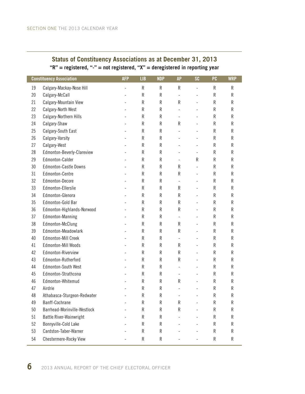#### **Status of Constituency Associations as at December 31, 2013 "R" = registered, "-" = not registered, "X" = deregistered in reporting year**

|    | <b>Constituency Association</b> | <b>AFP</b>     | <b>LIB</b>  | <b>NDP</b> | <b>AP</b>                | <b>SC</b>                | <b>PC</b> | <b>WRP</b> |
|----|---------------------------------|----------------|-------------|------------|--------------------------|--------------------------|-----------|------------|
| 19 | Calgary-Mackay-Nose Hill        | L              | ${\sf R}$   | ${\sf R}$  | R                        | $\overline{a}$           | R         | R          |
| 20 | Calgary-McCall                  | ÷,             | ${\sf R}$   | R          | $\overline{a}$           | ÷,                       | R         | R          |
| 21 | Calgary-Mountain View           | ÷,             | ${\sf R}$   | R          | R                        | ÷,                       | R         | R          |
| 22 | Calgary-North West              | -              | $\mathsf R$ | R          | $\equiv$                 | $\overline{\phantom{0}}$ | R         | ${\sf R}$  |
| 23 | Calgary-Northern Hills          | ÷,             | ${\sf R}$   | ${\sf R}$  | $\overline{\phantom{a}}$ | ÷,                       | ${\sf R}$ | R          |
| 24 | Calgary-Shaw                    |                | ${\sf R}$   | R          | ${\sf R}$                | $\overline{a}$           | ${\sf R}$ | ${\sf R}$  |
| 25 | Calgary-South East              | ٠              | ${\sf R}$   | R          | $\overline{a}$           | ÷,                       | R         | ${\sf R}$  |
| 26 | Calgary-Varsity                 |                | ${\sf R}$   | R          | ÷,                       | ÷,                       | R         | R          |
| 27 | Calgary-West                    | -              | ${\sf R}$   | R          | $\overline{\phantom{0}}$ | $\overline{\phantom{0}}$ | R         | ${\sf R}$  |
| 28 | Edmonton-Beverly-Clareview      | ÷,             | ${\sf R}$   | ${\sf R}$  | $\overline{\phantom{a}}$ | ÷,                       | ${\sf R}$ | R          |
| 29 | Edmonton-Calder                 | $\overline{a}$ | ${\sf R}$   | R          | $\overline{\phantom{a}}$ | ${\sf R}$                | ${\sf R}$ | ${\sf R}$  |
| 30 | <b>Edmonton-Castle Downs</b>    | ٠              | ${\sf R}$   | R          | R                        | $\overline{a}$           | R         | ${\sf R}$  |
| 31 | <b>Edmonton-Centre</b>          | $\overline{a}$ | ${\sf R}$   | ${\sf R}$  | ${\sf R}$                | ÷,                       | R         | ${\sf R}$  |
| 32 | <b>Edmonton-Decore</b>          | -              | ${\sf R}$   | R          | $\frac{1}{2}$            | ÷,                       | R         | ${\sf R}$  |
| 33 | Edmonton-Ellerslie              | ÷,             | ${\sf R}$   | ${\sf R}$  | ${\sf R}$                | $\overline{a}$           | ${\sf R}$ | R          |
| 34 | Edmonton-Glenora                | -              | ${\sf R}$   | R          | R                        | ÷,                       | R         | R          |
| 35 | Edmonton-Gold Bar               | ٠              | ${\sf R}$   | R          | R                        | ÷,                       | R         | ${\sf R}$  |
| 36 | Edmonton-Highlands-Norwood      | $\overline{a}$ | ${\sf R}$   | ${\sf R}$  | ${\sf R}$                | ÷,                       | R         | ${\sf R}$  |
| 37 | <b>Edmonton-Manning</b>         | $\overline{a}$ | $\mathsf R$ | R          | $\equiv$                 | $\overline{\phantom{0}}$ | R         | ${\sf R}$  |
| 38 | Edmonton-McClung                | ÷,             | ${\sf R}$   | ${\sf R}$  | R                        | ÷,                       | ${\sf R}$ | R          |
| 39 | Edmonton-Meadowlark             | -              | ${\sf R}$   | R          | ${\sf R}$                | ÷,                       | R         | R          |
| 40 | <b>Edmonton-Mill Creek</b>      |                | ${\sf R}$   | R          | ÷,                       | ÷,                       | R         | R          |
| 41 | Edmonton-Mill Woods             | $\overline{a}$ | ${\sf R}$   | ${\sf R}$  | R                        | ÷,                       | R         | ${\sf R}$  |
| 42 | Edmonton-Riverview              | $\overline{a}$ | $\mathsf R$ | R          | R                        | $\overline{\phantom{0}}$ | R         | ${\sf R}$  |
| 43 | Edmonton-Rutherford             | $\overline{a}$ | ${\sf R}$   | R          | ${\sf R}$                | $\overline{a}$           | ${\sf R}$ | ${\sf R}$  |
| 44 | Edmonton-South West             | -              | ${\sf R}$   | R          | $\overline{\phantom{0}}$ | $\overline{\phantom{0}}$ | R         | R          |
| 45 | Edmonton-Strathcona             |                | ${\sf R}$   | R          | $\overline{\phantom{a}}$ | ÷,                       | R         | R          |
| 46 | Edmonton-Whitemud               |                | R           | R          | R                        | $\overline{a}$           | R         | R          |
| 47 | Airdrie                         |                | R           | R          | ٠                        | ÷,                       | R         | R          |
| 48 | Athabasca-Sturgeon-Redwater     |                | $\mathsf R$ | R          |                          | L,                       | R         | ${\sf R}$  |
| 49 | Banff-Cochrane                  |                | ${\sf R}$   | R          | R                        |                          | R         | R          |
| 50 | Barrhead-Morinville-Westlock    |                | ${\sf R}$   | R          | $\mathsf R$              |                          | R         | R          |
| 51 | <b>Battle River-Wainwright</b>  |                | ${\sf R}$   | ${\sf R}$  | $\overline{\phantom{a}}$ | $\overline{\phantom{0}}$ | R         | R          |
| 52 | Bonnyville-Cold Lake            | $\overline{a}$ | ${\sf R}$   | R          | ÷                        | ÷                        | R         | R          |
| 53 | Cardston-Taber-Warner           |                | ${\sf R}$   | ${\sf R}$  |                          |                          | R         | R          |
| 54 | Chestermere-Rocky View          |                | R           | ${\sf R}$  |                          |                          | R         | R          |
|    |                                 |                |             |            |                          |                          |           |            |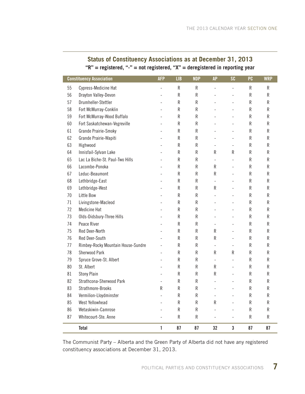|    | <b>Constituency Association</b>    | <b>AFP</b>               | <b>LIB</b> | <b>NDP</b>   | <b>AP</b>                | <b>SC</b>                | <b>PC</b>    | <b>WRP</b> |
|----|------------------------------------|--------------------------|------------|--------------|--------------------------|--------------------------|--------------|------------|
| 55 | Cypress-Medicine Hat               | $\overline{\phantom{0}}$ | R          | ${\sf R}$    | $\overline{a}$           | $\blacksquare$           | ${\sf R}$    | ${\sf R}$  |
| 56 | Drayton Valley-Devon               | ÷,                       | R          | ${\sf R}$    | $\overline{a}$           | $\frac{1}{2}$            | ${\sf R}$    | ${\sf R}$  |
| 57 | Drumheller-Stettler                | L.                       | R          | ${\sf R}$    | $\overline{a}$           | $\Box$                   | ${\sf R}$    | ${\sf R}$  |
| 58 | Fort McMurray-Conklin              | L.                       | R          | ${\sf R}$    | $\overline{a}$           | ÷,                       | R            | ${\sf R}$  |
| 59 | Fort McMurray-Wood Buffalo         | $\overline{a}$           | R          | ${\sf R}$    | $\overline{a}$           | ÷,                       | ${\sf R}$    | ${\sf R}$  |
| 60 | Fort Saskatchewan-Vegreville       | $\overline{a}$           | R          | ${\sf R}$    | $\overline{a}$           | ÷,                       | R            | ${\sf R}$  |
| 61 | <b>Grande Prairie-Smoky</b>        | L.                       | R          | ${\sf R}$    | -                        | ÷,                       | ${\sf R}$    | R          |
| 62 | Grande Prairie-Wapiti              | ÷,                       | R          | ${\sf R}$    | -                        | $\blacksquare$           | ${\sf R}$    | ${\sf R}$  |
| 63 | Highwood                           | ÷,                       | R          | ${\sf R}$    | $\overline{\phantom{0}}$ | $\overline{\phantom{a}}$ | ${\sf R}$    | ${\sf R}$  |
| 64 | Innisfail-Sylvan Lake              |                          | R          | $\mathsf{R}$ | ${\sf R}$                | R                        | $\mathsf{R}$ | ${\sf R}$  |
| 65 | Lac La Biche-St. Paul-Two Hills    | L                        | R          | $\mathsf{R}$ | $\overline{a}$           | $\overline{a}$           | $\mathsf{R}$ | R          |
| 66 | Lacombe-Ponoka                     |                          | R          | ${\sf R}$    | R                        | $\overline{a}$           | R            | R          |
| 67 | Leduc-Beaumont                     |                          | R          | ${\sf R}$    | R                        | ÷,                       | ${\sf R}$    | ${\sf R}$  |
| 68 | Lethbridge-East                    | ä,                       | R          | ${\sf R}$    | $\overline{a}$           | ÷,                       | R            | ${\sf R}$  |
| 69 | Lethbridge-West                    |                          | R          | ${\sf R}$    | R                        | $\overline{a}$           | ${\sf R}$    | ${\sf R}$  |
| 70 | Little Bow                         |                          | R          | ${\sf R}$    | $\overline{a}$           | $\overline{a}$           | ${\sf R}$    | ${\sf R}$  |
| 71 | Livingstone-Macleod                |                          | R          | ${\sf R}$    | $\overline{a}$           | $\overline{\phantom{a}}$ | R            | ${\sf R}$  |
| 72 | <b>Medicine Hat</b>                |                          | R          | ${\sf R}$    | $\overline{a}$           | ÷,                       | R            | ${\sf R}$  |
| 73 | Olds-Didsbury-Three Hills          | L.                       | R          | ${\sf R}$    | ÷,                       | $\frac{1}{2}$            | ${\sf R}$    | ${\sf R}$  |
| 74 | <b>Peace River</b>                 | $\overline{a}$           | R          | ${\sf R}$    | $\overline{a}$           | $\frac{1}{2}$            | ${\sf R}$    | ${\sf R}$  |
| 75 | Red Deer-North                     | L                        | R          | ${\sf R}$    | ${\sf R}$                | ÷,                       | ${\sf R}$    | ${\sf R}$  |
| 76 | Red Deer-South                     | L                        | R          | ${\sf R}$    | R                        | $\overline{a}$           | ${\sf R}$    | ${\sf R}$  |
| 77 | Rimbey-Rocky Mountain House-Sundre | $\overline{a}$           | R          | ${\sf R}$    | $\overline{a}$           | $\frac{1}{2}$            | ${\sf R}$    | ${\sf R}$  |
| 78 | Sherwood Park                      | $\overline{a}$           | R          | ${\sf R}$    | ${\sf R}$                | R                        | $\mathsf{R}$ | ${\sf R}$  |
| 79 | Spruce Grove-St. Albert            | L.                       | R          | ${\sf R}$    | $\overline{\phantom{a}}$ | $\overline{a}$           | R            | ${\sf R}$  |
| 80 | St. Albert                         | $\overline{a}$           | R          | ${\sf R}$    | ${\sf R}$                | $\overline{a}$           | ${\sf R}$    | ${\sf R}$  |
| 81 | <b>Stony Plain</b>                 | ä,                       | R          | ${\sf R}$    | R                        | ÷,                       | R            | ${\sf R}$  |
| 82 | Strathcona-Sherwood Park           | $\overline{\phantom{0}}$ | R          | ${\sf R}$    | ÷,                       | ÷,                       | ${\sf R}$    | ${\sf R}$  |
| 83 | Strathmore-Brooks                  | R                        | R          | ${\sf R}$    | ÷,                       | $\blacksquare$           | ${\sf R}$    | ${\sf R}$  |
| 84 | Vermilion-Lloydminster             | L.                       | R          | ${\sf R}$    | ÷,                       | $\overline{\phantom{a}}$ | ${\sf R}$    | ${\sf R}$  |
| 85 | West Yellowhead                    | L,                       | R          | $\mathsf{R}$ | R                        | $\frac{1}{2}$            | R            | R          |
| 86 | Wetaskiwin-Camrose                 | L,                       | R          | ${\sf R}$    | $\overline{a}$           | $\overline{a}$           | $\mathsf{R}$ | ${\sf R}$  |
| 87 | Whitecourt-Ste. Anne               | ÷,                       | R          | ${\sf R}$    | ÷,                       | ÷,                       | R            | ${\sf R}$  |
|    | <b>Total</b>                       | $\mathbf{1}$             | 87         | 87           | 32                       | 3                        | 87           | 87         |

#### **Status of Constituency Associations as at December 31, 2013 "R" = registered, "-" = not registered, "X" = deregistered in reporting year**

The Communist Party – Alberta and the Green Party of Alberta did not have any registered constituency associations at December 31, 2013.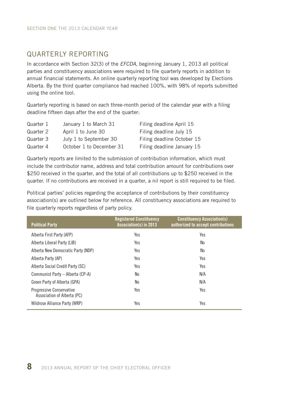## QUARTERLY REPORTING

In accordance with Section 32(3) of the *EFCDA*, beginning January 1, 2013 all political parties and constituency associations were required to file quarterly reports in addition to annual financial statements. An online quarterly reporting tool was developed by Elections Alberta. By the third quarter compliance had reached 100%, with 98% of reports submitted using the online tool.

Quarterly reporting is based on each three-month period of the calendar year with a filing deadline fifteen days after the end of the quarter:

| Quarter 1 | January 1 to March 31    | Filing deadline April 15   |
|-----------|--------------------------|----------------------------|
| Quarter 2 | April 1 to June 30       | Filing deadline July 15    |
| Quarter 3 | July 1 to September 30   | Filing deadline October 15 |
| Quarter 4 | October 1 to December 31 | Filing deadline January 15 |

Quarterly reports are limited to the submission of contribution information, which must include the contributor name, address and total contribution amount for contributions over \$250 received in the quarter, and the total of all contributions up to \$250 received in the quarter. If no contributions are received in a quarter, a nil report is still required to be filed.

Political parties' policies regarding the acceptance of contributions by their constituency association(s) are outlined below for reference. All constituency associations are required to file quarterly reports regardless of party policy.

| <b>Political Party</b>                                         | <b>Registered Constituency</b><br><b>Association(s) in 2013</b> | <b>Constituency Association(s)</b><br>authorized to accept contributions |
|----------------------------------------------------------------|-----------------------------------------------------------------|--------------------------------------------------------------------------|
| Alberta First Party (AFP)                                      | Yes                                                             | Yes                                                                      |
| Alberta Liberal Party (LIB)                                    | Yes                                                             | No                                                                       |
| Alberta New Democratic Party (NDP)                             | Yes                                                             | No.                                                                      |
| Alberta Party (AP)                                             | Yes                                                             | Yes                                                                      |
| Alberta Social Credit Party (SC)                               | Yes                                                             | Yes                                                                      |
| Communist Party - Alberta (CP-A)                               | No                                                              | N/A                                                                      |
| Green Party of Alberta (GPA)                                   | No                                                              | N/A                                                                      |
| <b>Progressive Conservative</b><br>Association of Alberta (PC) | Yes                                                             | Yes                                                                      |
| Wildrose Alliance Party (WRP)                                  | Yes                                                             | Yes                                                                      |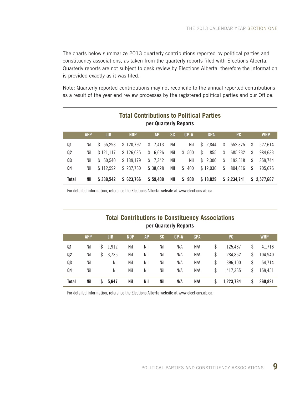The charts below summarize 2013 quarterly contributions reported by political parties and constituency associations, as taken from the quarterly reports filed with Elections Alberta. Quarterly reports are not subject to desk review by Elections Alberta, therefore the information is provided exactly as it was filed.

Note: Quarterly reported contributions may not reconcile to the annual reported contributions as a result of the year end review processes by the registered political parties and our Office.

| per Quarterly Reports |            |           |            |           |     |           |                         |    |             |    |             |
|-----------------------|------------|-----------|------------|-----------|-----|-----------|-------------------------|----|-------------|----|-------------|
|                       | <b>AFP</b> | LIB       | <b>NDP</b> | <b>AP</b> | SC  | $CP-A$    | <b>GPA</b>              |    | <b>PC</b>   |    | <b>WRP</b>  |
| Q <sub>1</sub>        | Nil        | \$5,293   | \$120,792  | \$7,413   | Nil | Nil       | 2,844<br>$\mathbb{S}^-$ | \$ | 552,375     | \$ | 527.614     |
| Q <sub>2</sub>        | Nil        | \$121,117 | \$126,035  | \$6,626   | Nil | 500<br>\$ | \$<br>855               | \$ | 685,232     | \$ | 984.633     |
| Q3                    | Nil        | \$50,540  | \$139,179  | \$7,342   | Nil | Nil       | \$<br>2,300             | \$ | 192,518     | \$ | 359,744     |
| Q4                    | Nil        | \$112,592 | \$237,760  | \$38,028  | Nil | 400<br>\$ | \$12,030                | \$ | 804,616     | \$ | 705.676     |
| <b>Total</b>          | Nil        | \$339,542 | \$623,766  | \$59,409  | Nil | \$ 900    | \$18,029                |    | \$2,234,741 |    | \$2,577,667 |

#### **Total Contributions to Political Parties per Quarterly Reports**

For detailed information, reference the Elections Alberta website at www.elections.ab.ca.

#### **Total Contributions to Constituency Associations per Quarterly Reports**

|                | <b>AFP</b> |    | LIB.  | <b>NDP</b> | AΡ  | SC  | CP-A | <b>GPA</b> |    | <b>PC</b> |    | <b>WRP</b> |
|----------------|------------|----|-------|------------|-----|-----|------|------------|----|-----------|----|------------|
| Q <sub>1</sub> | Nil        | \$ | 1,912 | Nil        | Nil | Nil | N/A  | N/A        | \$ | 125,467   | \$ | 41,716     |
| Q <sub>2</sub> | Nil        | \$ | 3,735 | Nil        | Nil | Nil | N/A  | N/A        | \$ | 284,852   | \$ | 104,940    |
| Q3             | Nil        |    | Nil   | Nil        | Nil | Nil | N/A  | N/A        | \$ | 396,100   | \$ | 54,714     |
| Q4             | Nil        |    | Nil   | Nil        | Nil | Nil | N/A  | N/A        | \$ | 417,365   | \$ | 159,451    |
| <b>Total</b>   | Nil        | S  | 5,647 | Nil        | Nil | Nil | N/A  | N/A        | S  | 1,223,784 | S  | 360,821    |

For detailed information, reference the Elections Alberta website at www.elections.ab.ca.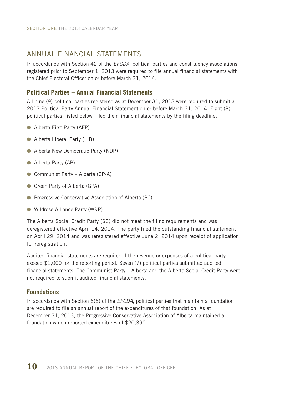### ANNUAL FINANCIAL STATEMENTS

In accordance with Section 42 of the *EFCDA*, political parties and constituency associations registered prior to September 1, 2013 were required to file annual financial statements with the Chief Electoral Officer on or before March 31, 2014.

#### **Political Parties – Annual Financial Statements**

All nine (9) political parties registered as at December 31, 2013 were required to submit a 2013 Political Party Annual Financial Statement on or before March 31, 2014. Eight (8) political parties, listed below, filed their financial statements by the filing deadline:

- **●** Alberta First Party (AFP)
- **●** Alberta Liberal Party (LIB)
- Alberta New Democratic Party (NDP)
- **●** Alberta Party (AP)
- **●** Communist Party Alberta (CP-A)
- **●** Green Party of Alberta (GPA)
- **●** Progressive Conservative Association of Alberta (PC)
- **●** Wildrose Alliance Party (WRP)

The Alberta Social Credit Party (SC) did not meet the filing requirements and was deregistered effective April 14, 2014. The party filed the outstanding financial statement on April 29, 2014 and was reregistered effective June 2, 2014 upon receipt of application for reregistration.

Audited financial statements are required if the revenue or expenses of a political party exceed \$1,000 for the reporting period. Seven (7) political parties submitted audited financial statements. The Communist Party – Alberta and the Alberta Social Credit Party were not required to submit audited financial statements.

#### **Foundations**

In accordance with Section 6(6) of the *EFCDA*, political parties that maintain a foundation are required to file an annual report of the expenditures of that foundation. As at December 31, 2013, the Progressive Conservative Association of Alberta maintained a foundation which reported expenditures of \$20,390.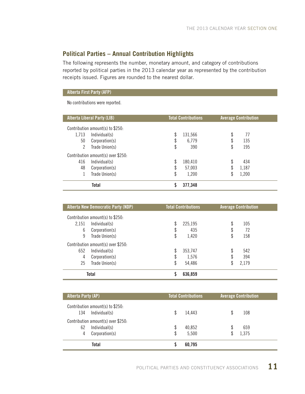#### **Political Parties – Annual Contribution Highlights**

The following represents the number, monetary amount, and category of contributions reported by political parties in the 2013 calendar year as represented by the contribution receipts issued. Figures are rounded to the nearest dollar.

#### **Alberta First Party (AFP)**

No contributions were reported.

| Alberta Liberal Party (LIB) |                                    | <b>Total Contributions</b> | <b>Average Contribution</b> |  |
|-----------------------------|------------------------------------|----------------------------|-----------------------------|--|
|                             | Contribution amount(s) to \$250:   |                            |                             |  |
| 1,713                       | Individual(s)                      | \$<br>131,566              | \$<br>77                    |  |
| 50                          | Corporation(s)                     | \$<br>6,779                | \$<br>135                   |  |
| 2                           | Trade Union(s)                     | \$<br>390                  | \$<br>195                   |  |
|                             | Contribution amount(s) over \$250: |                            |                             |  |
| 416                         | Individual(s)                      | 180,410                    | \$<br>434                   |  |
| 48                          | Corporation(s)                     | \$<br>57,003               | \$<br>1,187                 |  |
|                             | Trade Union(s)                     | \$<br>1,200                | \$<br>1,200                 |  |
|                             | Total                              | 377,348                    |                             |  |

| Alberta New Democratic Party (NDP) |                                    | <b>Total Contributions</b> | <b>Average Contribution</b> |  |
|------------------------------------|------------------------------------|----------------------------|-----------------------------|--|
|                                    | Contribution amount(s) to \$250:   |                            |                             |  |
| 2,151                              | Individual(s)                      | \$<br>225,195              | \$<br>105                   |  |
| 6                                  | Corporation(s)                     | \$<br>435                  | \$<br>72                    |  |
| 9                                  | Trade Union(s)                     | \$<br>1,420                | \$<br>158                   |  |
|                                    | Contribution amount(s) over \$250: |                            |                             |  |
| 652                                | Individual(s)                      | \$<br>353,747              | \$<br>542                   |  |
| 4                                  | Corporation(s)                     | \$<br>1,576                | \$<br>394                   |  |
| 25                                 | Trade Union(s)                     | \$<br>54,486               | \$<br>2,179                 |  |
|                                    | Total                              | 636,859                    |                             |  |

| Alberta Party (AP)                                                               |          | <b>Total Contributions</b> | <b>Average Contribution</b> |
|----------------------------------------------------------------------------------|----------|----------------------------|-----------------------------|
| Contribution amount(s) to \$250:<br>Individual(s)<br>134                         | \$       | 14.443                     | 108                         |
| Contribution amount(s) over \$250:<br>Individual(s)<br>62<br>Corporation(s)<br>4 | \$<br>\$ | 40,852<br>5,500            | 659<br>1,375                |
| Total                                                                            |          | 60,795                     |                             |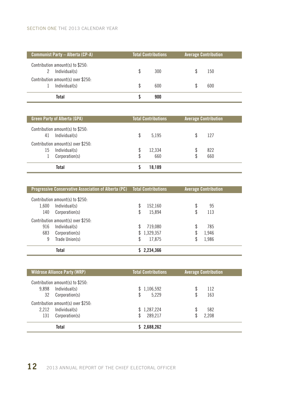#### SECTION ONE THE 2013 CALENDAR YEAR

| <b>Communist Party - Alberta (CP-A)</b>             |     | <b>Total Contributions</b> | <b>Average Contribution</b> |     |
|-----------------------------------------------------|-----|----------------------------|-----------------------------|-----|
| Contribution amount(s) to \$250:<br>Individual(s)   | \$  | 300                        |                             | 150 |
| Contribution amount(s) over \$250:<br>Individual(s) | \$. | 600                        |                             | 600 |
| Total                                               |     | 900                        |                             |     |

| <b>Green Party of Alberta (GPA)</b>                                         |          | <b>Total Contributions</b> |          | <b>Average Contribution</b> |
|-----------------------------------------------------------------------------|----------|----------------------------|----------|-----------------------------|
| Contribution amount(s) to \$250:<br>Individual(s)<br>41                     | \$       | 5,195                      |          | 127                         |
| Contribution amount(s) over \$250:<br>Individual(s)<br>15<br>Corporation(s) | \$<br>\$ | 12,334<br>660              | \$<br>\$ | 822<br>660                  |
| Total                                                                       |          | 18,189                     |          |                             |

| Progressive Conservative Association of Alberta (PC) | <b>Total Contributions</b> | <b>Average Contribution</b> |
|------------------------------------------------------|----------------------------|-----------------------------|
| Contribution amount(s) to \$250:                     |                            |                             |
| 1,600<br>Individual(s)                               | 152,160<br>\$              | \$<br>95                    |
| 140<br>Corporation(s)                                | 15,894<br>\$               | 113<br>\$                   |
| Contribution amount(s) over \$250:                   |                            |                             |
| 916<br>Individual(s)                                 | 719,080                    | 785<br>\$                   |
| 683<br>Corporation(s)                                | \$1,329,357                | \$<br>1,946                 |
| 9<br>Trade Union(s)                                  | 17,875<br>\$               | 1,986<br>\$                 |
| Total                                                | 2,234,366                  |                             |

|       | <b>Wildrose Alliance Party (WRP)</b> | <b>Total Contributions</b> | <b>Average Contribution</b> |
|-------|--------------------------------------|----------------------------|-----------------------------|
|       | Contribution amount(s) to \$250:     |                            |                             |
| 9,898 | Individual(s)                        | 1,106,592<br>\$<br>\$      | 112                         |
| 32    | Corporation(s)                       | 5,229<br>\$<br>\$          | 163                         |
|       | Contribution amount(s) over \$250:   |                            |                             |
| 2,212 | Individual(s)                        | 1,287,224<br>\$<br>\$      | 582                         |
| 131   | Corporation(s)                       | 289,217<br>\$              | 2,208                       |
|       | Total                                | 2,688,262                  |                             |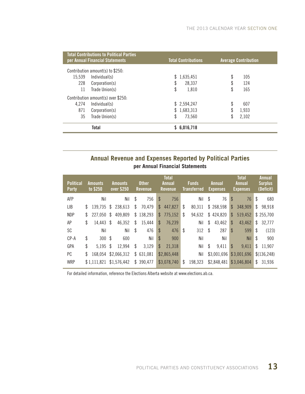| <b>Total Contributions to Political Parties</b><br>per Annual Financial Statements |                                    |    | <b>Total Contributions</b> | <b>Average Contribution</b> |
|------------------------------------------------------------------------------------|------------------------------------|----|----------------------------|-----------------------------|
|                                                                                    | Contribution amount(s) to \$250:   |    |                            |                             |
| 15,539                                                                             | Individual(s)                      | \$ | 1,635,451                  | \$<br>105                   |
| 228                                                                                | Corporation(s)                     | \$ | 28,337                     | \$<br>124                   |
| 11                                                                                 | Trade Union(s)                     | \$ | 1,810                      | \$<br>165                   |
|                                                                                    | Contribution amount(s) over \$250: |    |                            |                             |
| 4,274                                                                              | Individual(s)                      |    | \$2,594,247                | \$<br>607                   |
| 871                                                                                | Corporation(s)                     |    | \$1,683,313                | \$<br>1,933                 |
| 35                                                                                 | Trade Union(s)                     | \$ | 73,560                     | \$<br>2,102                 |
|                                                                                    | Total                              | S. | 6,016,718                  |                             |

#### **Annual Revenue and Expenses Reported by Political Parties per Annual Financial Statements**

| <b>Political</b><br><b>Party</b> | <b>Amounts</b><br>to \$250 | <b>Amounts</b><br><b>over \$250</b> | <b>Other</b><br>Revenue | <b>Total</b><br><b>Annual</b><br><b>Revenue</b> | <b>Funds</b><br><b>Transferred</b> | <b>Annual</b><br><b>Expenses</b> | <b>Total</b><br><b>Annual</b><br><b>Expenses</b> | <b>Annual</b><br><b>Surplus</b><br>(Deficit) |
|----------------------------------|----------------------------|-------------------------------------|-------------------------|-------------------------------------------------|------------------------------------|----------------------------------|--------------------------------------------------|----------------------------------------------|
| AFP                              | Nil                        | Nil                                 | 756<br>\$               | 756<br>\$                                       | Nil                                | 76<br>\$                         | \$<br>76                                         | \$<br>680                                    |
| LIB                              | 139,735<br>\$              | 238,613<br>\$                       | \$<br>70,479            | \$<br>447,827                                   | \$<br>80,311                       | \$268,598                        | 348,909<br>\$                                    | \$<br>98,918                                 |
| <b>NDP</b>                       | 227,050<br>\$              | 409,809<br>\$                       | \$138,293               | 775,152<br>$\mathbb{S}$                         | \$<br>94,632                       | \$424,820                        | \$<br>519,452                                    | \$255,700                                    |
| AP                               | \$<br>14,443               | 46,352<br>\$                        | \$<br>15,444            | \$<br>76,239                                    | Nil                                | \$<br>43,462                     | \$<br>43,462                                     | \$<br>32,777                                 |
| SC                               | Nil                        | Nil                                 | \$<br>476               | \$<br>476                                       | \$<br>$312$ \$                     | 287                              | \$<br>599                                        | (123)<br>\$                                  |
| $CP - A$                         | \$<br>$300*$               | 600                                 | Nil                     | $\mathcal{S}$<br>900                            | Nil                                | Nil                              | <b>Nil</b>                                       | \$<br>900                                    |
| GPA                              | \$<br>5,195                | \$<br>12,994                        | 3,129<br>\$             | 21,318<br>\$                                    | Nil                                | \$<br>9,411                      | \$<br>9,411                                      | \$<br>11,907                                 |
| РC                               | 168.054                    | \$2,066,312                         | \$631,081               | \$2,865,448                                     | Nil                                | \$3,001,696                      | \$3,001,696                                      | \$(136, 248)                                 |
| <b>WRP</b>                       | \$1,111,821                | \$1,576,442                         | \$390,477               | \$3,078,740                                     | 198,323<br>\$                      | \$2,848,481                      | \$3,046,804                                      | \$<br>31,936                                 |

For detailed information, reference the Elections Alberta website at www.elections.ab.ca.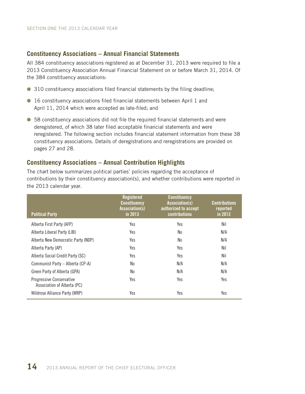#### **Constituency Associations – Annual Financial Statements**

All 384 constituency associations registered as at December 31, 2013 were required to file a 2013 Constituency Association Annual Financial Statement on or before March 31, 2014. Of the 384 constituency associations:

- **●** 310 constituency associations filed financial statements by the filing deadline;
- **●** 16 constituency associations filed financial statements between April 1 and April 11, 2014 which were accepted as late-filed; and
- **●** 58 constituency associations did not file the required financial statements and were deregistered, of which 38 later filed acceptable financial statements and were reregistered. The following section includes financial statement information from these 38 constituency associations. Details of deregistrations and reregistrations are provided on pages 27 and 28.

#### **Constituency Associations – Annual Contribution Highlights**

The chart below summarizes political parties' policies regarding the acceptance of contributions by their constituency association(s), and whether contributions were reported in the 2013 calendar year.

| <b>Political Party</b>                                         | Registered<br><b>Constituency</b><br>Association(s)<br>in 2013 | <b>Constituency</b><br>Association(s)<br>authorized to accept<br><b>contributions</b> | <b>Contributions</b><br>reported<br>in 2013 |
|----------------------------------------------------------------|----------------------------------------------------------------|---------------------------------------------------------------------------------------|---------------------------------------------|
| Alberta First Party (AFP)                                      | Yes                                                            | Yes                                                                                   | Nil                                         |
| Alberta Liberal Party (LIB)                                    | Yes                                                            | No                                                                                    | N/A                                         |
| Alberta New Democratic Party (NDP)                             | Yes                                                            | No                                                                                    | N/A                                         |
| Alberta Party (AP)                                             | Yes                                                            | Yes                                                                                   | Nil                                         |
| Alberta Social Credit Party (SC)                               | Yes                                                            | Yes                                                                                   | Nil                                         |
| Communist Party - Alberta (CP-A)                               | No.                                                            | N/A                                                                                   | N/A                                         |
| Green Party of Alberta (GPA)                                   | N <sub>0</sub>                                                 | N/A                                                                                   | N/A                                         |
| <b>Progressive Conservative</b><br>Association of Alberta (PC) | Yes                                                            | Yes                                                                                   | Yes                                         |
| Wildrose Alliance Party (WRP)                                  | Yes                                                            | Yes                                                                                   | Yes                                         |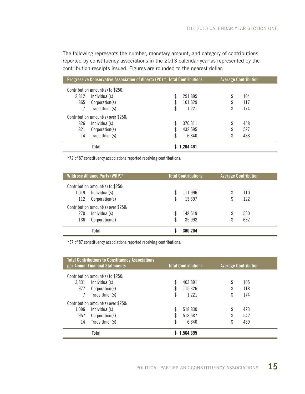The following represents the number, monetary amount, and category of contributions reported by constituency associations in the 2013 calendar year as represented by the contribution receipts issued. Figures are rounded to the nearest dollar.

|       | Progressive Conservative Association of Alberta (PC) * Total Contributions |               | <b>Average Contribution</b> |  |
|-------|----------------------------------------------------------------------------|---------------|-----------------------------|--|
|       | Contribution amount(s) to \$250:                                           |               |                             |  |
| 2,812 | Individual(s)                                                              | \$<br>291,895 | \$<br>104                   |  |
| 865   | Corporation(s)                                                             | \$<br>101,629 | \$<br>117                   |  |
|       | Trade Union(s)                                                             | \$<br>1,221   | \$<br>174                   |  |
|       | Contribution amount(s) over \$250:                                         |               |                             |  |
| 826   | Individual(s)                                                              | \$<br>370,311 | \$<br>448                   |  |
| 821   | Corporation(s)                                                             | \$<br>432,595 | 527<br>\$                   |  |
| 14    | Trade Union(s)                                                             | \$<br>6,840   | \$<br>488                   |  |
|       | <b>Total</b>                                                               | 1,204,491     |                             |  |

\*72 of 87 constituency associations reported receiving contributions.

| Wildrose Alliance Party (WRP)*     | <b>Total Contributions</b> |         | <b>Average Contribution</b> |     |
|------------------------------------|----------------------------|---------|-----------------------------|-----|
| Contribution amount(s) to \$250:   |                            |         |                             |     |
| 1,019<br>Individual(s)             |                            | 111,996 | \$                          | 110 |
| 112<br>Corporation(s)              | \$                         | 13,697  | \$                          | 122 |
| Contribution amount(s) over \$250: |                            |         |                             |     |
| 270<br>Individual(s)               |                            | 148,519 | \$                          | 550 |
| 136<br>Corporation(s)              | \$                         | 85,992  | \$                          | 632 |
| Total                              |                            | 360,204 |                             |     |

\*57 of 87 constituency associations reported receiving contributions.

|       | <b>Total Contributions to Constituency Associations</b><br>per Annual Financial Statements | <b>Total Contributions</b> | <b>Average Contribution</b> |
|-------|--------------------------------------------------------------------------------------------|----------------------------|-----------------------------|
|       | Contribution amount(s) to \$250:                                                           |                            |                             |
| 3,831 | Individual(s)                                                                              | \$<br>403,891              | \$<br>105                   |
| 977   | Corporation(s)                                                                             | \$<br>115,326              | \$<br>118                   |
|       | Trade Union(s)                                                                             | \$<br>1,221                | \$<br>174                   |
|       | Contribution amount(s) over \$250:                                                         |                            |                             |
| 1,096 | Individual(s)                                                                              | \$<br>518,830              | \$<br>473                   |
| 957   | Corporation(s)                                                                             | \$<br>518,587              | \$<br>542                   |
| 14    | Trade Union(s)                                                                             | \$<br>6,840                | \$<br>489                   |
|       | Total                                                                                      | 1,564,695                  |                             |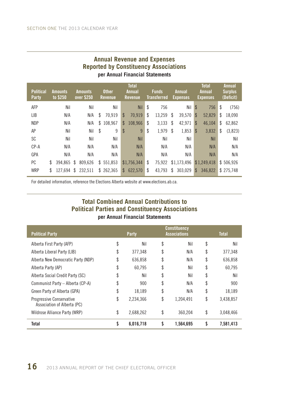#### **Annual Revenue and Expenses Reported by Constituency Associations per Annual Financial Statements**

| <b>Political</b><br><b>Party</b> | <b>Amounts</b><br>to \$250 | <b>Amounts</b><br>over \$250 | <b>Other</b><br><b>Revenue</b> | <b>Total</b><br><b>Annual</b><br><b>Revenue</b> |             | <b>Funds</b><br><b>Transferred</b> |        | <b>Annual</b><br><b>Expenses</b> |             | <b>Total</b><br>Annual<br><b>Expenses</b> |             | <b>Annual</b><br><b>Surplus</b><br>(Deficit) |           |
|----------------------------------|----------------------------|------------------------------|--------------------------------|-------------------------------------------------|-------------|------------------------------------|--------|----------------------------------|-------------|-------------------------------------------|-------------|----------------------------------------------|-----------|
| AFP                              | Nil                        | Nil                          | Nil                            |                                                 | <b>Nil</b>  | \$                                 | 756    |                                  | Nil         | \$                                        | 756         | \$                                           | (756)     |
| LІВ                              | N/A                        | N/A                          | \$<br>70,919                   | \$                                              | 70,919      | \$                                 | 13,259 | \$                               | 39,570      | \$                                        | 52,829      | \$                                           | 18,090    |
| <b>NDP</b>                       | N/A                        | N/A                          | \$<br>108,967                  | \$                                              | 108,966     | \$                                 | 3,133  | \$                               | 42,971      | \$                                        | 46,104      | \$                                           | 62,862    |
| AP                               | Nil                        | Nil                          | \$<br>9                        | \$                                              | 9           | \$                                 | 1,979  | \$                               | 1,853       | \$                                        | 3,832       | \$                                           | (3,823)   |
| SC                               | Nil                        | Nil                          | Nil                            |                                                 | <b>Nil</b>  |                                    | Nil    |                                  | Nil         |                                           | Nil         |                                              | Nil       |
| $CP - A$                         | N/A                        | N/A                          | N/A                            |                                                 | N/A         |                                    | N/A    |                                  | N/A         |                                           | N/A         |                                              | N/A       |
| GPA                              | N/A                        | N/A                          | N/A                            |                                                 | N/A         |                                    | N/A    |                                  | N/A         |                                           | N/A         |                                              | N/A       |
| РC                               | \$<br>394,865              | \$<br>809,626                | \$551,853                      |                                                 | \$1,756,344 | \$                                 | 75,922 |                                  | \$1,173,496 |                                           | \$1,249,418 |                                              | \$506,926 |
| <b>WRP</b>                       | \$<br>127,694              | \$<br>232,511                | \$262,365                      | \$                                              | 622,570     | \$                                 | 43,793 | \$                               | 303,029     | $\mathbb{S}$                              | 346,822     |                                              | \$275,748 |

For detailed information, reference the Elections Alberta website at www.elections.ab.ca.

#### **Total Combined Annual Contributions to Political Parties and Constituency Associations per Annual Financial Statements**

| <b>Political Party</b>                                         | <b>Party</b>    | <b>Constituency</b><br><b>Associations</b> | <b>Total</b>    |
|----------------------------------------------------------------|-----------------|--------------------------------------------|-----------------|
| Alberta First Party (AFP)                                      | \$<br>Nil       | \$<br>Nil                                  | \$<br>Nil       |
| Alberta Liberal Party (LIB)                                    | \$<br>377,348   | \$<br>N/A                                  | \$<br>377,348   |
| Alberta New Democratic Party (NDP)                             | \$<br>636,858   | \$<br>N/A                                  | \$<br>636,858   |
| Alberta Party (AP)                                             | \$<br>60,795    | \$<br>Nil                                  | \$<br>60,795    |
| Alberta Social Credit Party (SC)                               | \$<br>Nil       | \$<br>Nil                                  | \$<br>Nil       |
| Communist Party - Alberta (CP-A)                               | \$<br>900       | \$<br>N/A                                  | \$<br>900       |
| Green Party of Alberta (GPA)                                   | \$<br>18,189    | \$<br>N/A                                  | \$<br>18,189    |
| <b>Progressive Conservative</b><br>Association of Alberta (PC) | \$<br>2,234,366 | \$<br>1,204,491                            | \$<br>3,438,857 |
| Wildrose Alliance Party (WRP)                                  | \$<br>2,688,262 | \$<br>360,204                              | \$<br>3,048,466 |
| Total                                                          | 6,016,718       | \$<br>1,564,695                            | \$<br>7,581,413 |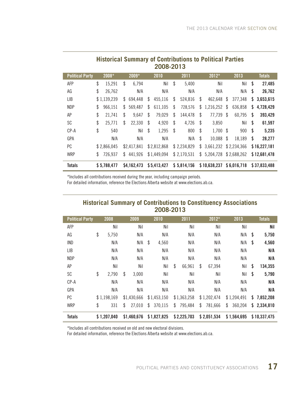| <b>Historical Summary of Contributions to Political Parties</b><br>2008-2013 |               |               |               |               |                 |                       |                 |  |  |  |
|------------------------------------------------------------------------------|---------------|---------------|---------------|---------------|-----------------|-----------------------|-----------------|--|--|--|
| <b>Political Party</b>                                                       | 2008*         | $2009*$       | 2010          | 2011          | $2012*$         | 2013                  | <b>Totals</b>   |  |  |  |
| AFP                                                                          | \$<br>15,291  | \$<br>6,794   | Nil           | \$<br>5,400   | Nil             | Nil                   | \$<br>27,485    |  |  |  |
| AG                                                                           | \$<br>26,762  | N/A           | N/A           | N/A           | N/A             | N/A                   | \$<br>26,762    |  |  |  |
| LІВ                                                                          | \$1,139,239   | 694,448<br>\$ | \$<br>455,116 | \$<br>524,816 | \$<br>462,648   | \$<br>377,348         | \$<br>3,653,615 |  |  |  |
| <b>NDP</b>                                                                   | 966,151<br>\$ | 569,487<br>\$ | \$<br>611,105 | 728,576<br>\$ | 1,216,252<br>\$ | 636,858<br>\$         | 4,728,429<br>S. |  |  |  |
| АP                                                                           | \$<br>21,741  | \$<br>9,647   | \$<br>79,029  | \$<br>144,478 | \$<br>77,739 \$ | 60,795                | \$<br>393,429   |  |  |  |
| SC                                                                           | \$<br>25,771  | \$<br>22,330  | \$<br>4,920   | \$<br>4,726   | \$<br>3,850     | Nil                   | \$<br>61,597    |  |  |  |
| CP-A                                                                         | \$<br>540     | Nil           | \$<br>1,295   | \$<br>800     | \$<br>1,700     | $\sqrt[6]{}$<br>900   | - \$<br>5,235   |  |  |  |
| GPA                                                                          | N/A           | N/A           | N/A           | N/A           | \$<br>10,088    | \$<br>18,189          | \$<br>28,277    |  |  |  |
| РC                                                                           | \$2,866,045   | \$2,417,841   | \$2,812,868   | \$2,234,829   | \$              | 3,661,232 \$2,234,366 | \$16,227,181    |  |  |  |
| <b>WRP</b>                                                                   | \$<br>726,937 | 441,926<br>\$ | \$1,449,094   | \$2,170,531   | 5,204,728<br>\$ | \$2,688,262           | \$12,681,478    |  |  |  |
| <b>Totals</b>                                                                | \$5,788,477   | \$4,162,473   | \$5,413,427   | \$5,814,156   | \$10,638,237    | \$6,016,718           | \$37,833,488    |  |  |  |

# **Historical Summary of Contributions to Political Parties**

\*Includes all contributions received during the year, including campaign periods.

For detailed information, reference the Elections Alberta website at www.elections.ab.ca.

#### **Historical Summary of Contributions to Constituency Associations 2008-2013**

| <b>Political Party</b> | 2008        | 2009         | 2010          | 2011          | 2012*         | 2013          | <b>Totals</b> |
|------------------------|-------------|--------------|---------------|---------------|---------------|---------------|---------------|
| <b>AFP</b>             | Nil         | Nil          | Nil           | Nil           | Nil           | Nil           | Nil           |
| AG                     | \$<br>5,750 | N/A          | N/A           | N/A           | N/A           | $N/A$ \$      | 5,750         |
| IND                    | N/A         | N/A          | \$<br>4,560   | N/A           | N/A           | $N/A$ \$      | 4,560         |
| LІВ                    | N/A         | N/A          | N/A           | N/A           | N/A           | N/A           | N/A           |
| <b>NDP</b>             | N/A         | N/A          | N/A           | N/A           | N/A           | N/A           | N/A           |
| АP                     | Nil         | Nil          | Nil           | \$<br>66,961  | \$<br>67,394  | Nil           | \$<br>134,355 |
| SC                     | \$<br>2,790 | \$<br>3,000  | Nil           | Nil           | Nil           | Nil           | \$<br>5,790   |
| CP-A                   | N/A         | N/A          | N/A           | N/A           | N/A           | N/A           | N/A           |
| GPA                    | N/A         | N/A          | N/A           | N/A           | N/A           | N/A           | N/A           |
| PC                     | \$1,198,169 | \$1,430,666  | \$1,453,150   | \$1,363,258   | \$1,202,474   | \$1,204,491   | \$7,852,208   |
| <b>WRP</b>             | \$<br>331   | \$<br>27,010 | \$<br>370,115 | \$<br>795,484 | \$<br>781,666 | \$<br>360,204 | \$2,334,810   |
| <b>Totals</b>          | \$1,207,040 | \$1,460,676  | \$1,827,825   | \$2,225,703   | \$2,051,534   | \$1,564,695   | \$10,337,475  |

\*Includes all contributions received on old and new electoral divisions.

For detailed information, reference the Elections Alberta website at www.elections.ab.ca.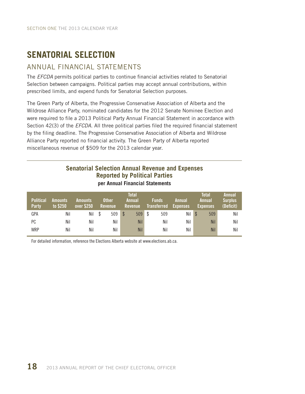## **SENATORIAL SELECTION**

#### ANNUAL FINANCIAL STATEMENTS

The *EFCDA* permits political parties to continue financial activities related to Senatorial Selection between campaigns. Political parties may accept annual contributions, within prescribed limits, and expend funds for Senatorial Selection purposes.

The Green Party of Alberta, the Progressive Conservative Association of Alberta and the Wildrose Alliance Party, nominated candidates for the 2012 Senate Nominee Election and were required to file a 2013 Political Party Annual Financial Statement in accordance with Section 42(3) of the *EFCDA*. All three political parties filed the required financial statement by the filing deadline. The Progressive Conservative Association of Alberta and Wildrose Alliance Party reported no financial activity. The Green Party of Alberta reported miscellaneous revenue of \$509 for the 2013 calendar year.

## **Senatorial Selection Annual Revenue and Expenses Reported by Political Parties**

| <b>Political</b><br><b>Party</b> | Amounts<br>to \$250 | <b>Amounts</b><br><b>over \$250</b> | <b>Other</b><br><b>Revenue</b> | <b>Total</b><br>Annual<br><b>Revenue</b> | <b>Funds</b><br><b>Transferred</b> | Annual<br><b>Expenses</b> | <b>Total</b><br><b>Annual</b><br><b>Expenses</b> | Annual<br><b>Surplus</b><br>(Deficit) |
|----------------------------------|---------------------|-------------------------------------|--------------------------------|------------------------------------------|------------------------------------|---------------------------|--------------------------------------------------|---------------------------------------|
| GPA                              | Nil                 | Nil                                 | 509<br>\$                      | $\mathcal{S}$<br>509                     | -\$<br>509                         | Nil                       | 509<br>\$                                        | Nil                                   |
| РC                               | Nil                 | Nil                                 | Nil                            | Nil                                      | Nil                                | Nil                       | <b>Nil</b>                                       | Nil                                   |
| <b>WRP</b>                       | Nil                 | Nil                                 | Nil                            | Nil                                      | Nil                                | Nil                       | <b>Nil</b>                                       | Nil                                   |

#### **per Annual Financial Statements**

For detailed information, reference the Elections Alberta website at www.elections.ab.ca.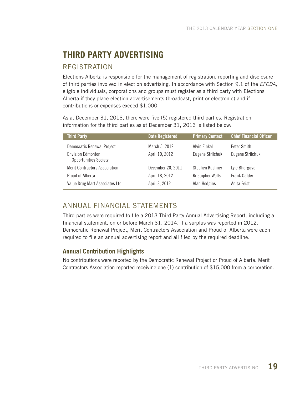# **THIRD PARTY ADVERTISING**

#### REGISTRATION

Elections Alberta is responsible for the management of registration, reporting and disclosure of third parties involved in election advertising. In accordance with Section 9.1 of the *EFCDA*, eligible individuals, corporations and groups must register as a third party with Elections Alberta if they place election advertisements (broadcast, print or electronic) and if contributions or expenses exceed \$1,000.

As at December 31, 2013, there were five (5) registered third parties. Registration information for the third parties as at December 31, 2013 is listed below:

| <b>Third Party</b>                                       | <b>Date Registered</b> | <b>Primary Contact</b> | <b>Chief Financial Officer</b> |
|----------------------------------------------------------|------------------------|------------------------|--------------------------------|
| Democratic Renewal Project                               | March 5, 2012          | Alvin Finkel           | Peter Smith                    |
| <b>Envision Edmonton</b><br><b>Opportunities Society</b> | April 10, 2012         | Eugene Strilchuk       | Eugene Strilchuk               |
| <b>Merit Contractors Association</b>                     | December 20, 2011      | Stephen Kushner        | Lyle Bhargava                  |
| Proud of Alberta                                         | April 18, 2012         | Kristopher Wells       | <b>Frank Calder</b>            |
| Value Drug Mart Associates Ltd.                          | April 3, 2012          | Alan Hodgins           | Anita Feist                    |

#### ANNUAL FINANCIAL STATEMENTS

Third parties were required to file a 2013 Third Party Annual Advertising Report, including a financial statement, on or before March 31, 2014, if a surplus was reported in 2012. Democratic Renewal Project, Merit Contractors Association and Proud of Alberta were each required to file an annual advertising report and all filed by the required deadline.

#### **Annual Contribution Highlights**

No contributions were reported by the Democratic Renewal Project or Proud of Alberta. Merit Contractors Association reported receiving one (1) contribution of \$15,000 from a corporation.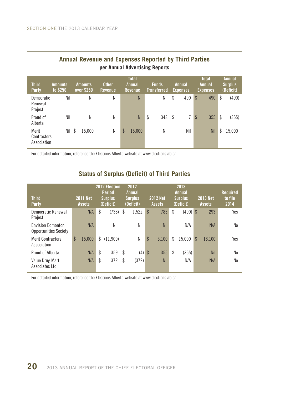| <b>Annual Revenue and Expenses Reported by Third Parties</b> |
|--------------------------------------------------------------|
| per Annual Advertising Reports                               |

| <b>Third</b><br><b>Party</b>               | <b>Amounts</b><br>to \$250 | <b>Amounts</b><br>over \$250 | <b>Other</b><br><b>Revenue</b> | <b>Total</b><br>Annual<br><b>Revenue</b> | <b>Funds</b><br><b>Transferred</b> | <b>Annual</b><br><b>Expenses</b> | <b>Total</b><br><b>Annual</b><br><b>Expenses</b> | <b>Annual</b><br><b>Surplus</b><br>(Deficit) |
|--------------------------------------------|----------------------------|------------------------------|--------------------------------|------------------------------------------|------------------------------------|----------------------------------|--------------------------------------------------|----------------------------------------------|
| <b>Democratic</b><br>Renewal<br>Project    | Nil                        | Nil                          | Nil                            | <b>Nil</b>                               | Nil                                | 490<br>\$                        | \$<br>490                                        | \$<br>(490)                                  |
| Proud of<br>Alberta                        | Nil                        | Nil                          | Nil                            | Nil                                      | \$<br>348                          | \$                               | 355<br>-\$                                       | \$<br>(355)                                  |
| Merit<br><b>Contractors</b><br>Association | Nil                        | 15,000<br>\$                 | Nil                            | \$<br>15,000                             | Nil                                | Nil                              | Nil                                              | \$<br>15,000                                 |

For detailed information, reference the Elections Alberta website at www.elections.ab.ca.

## **Status of Surplus (Deficit) of Third Parties**

| <b>Third</b><br><b>Party</b>                             | <b>2011 Net</b><br><b>Assets</b> | <b>2012 Election</b><br><b>Period</b><br><b>Surplus</b><br>(Deficit) |    | 2012<br>Annual<br><b>Surplus</b><br>(Deficit) |                                 | 2013<br><b>Annual</b><br><b>2012 Net</b><br><b>Surplus</b><br>(Deficit)<br><b>Assets</b> |    | <b>2013 Net</b><br><b>Assets</b> | <b>Required</b><br>to file<br>2014 |                |
|----------------------------------------------------------|----------------------------------|----------------------------------------------------------------------|----|-----------------------------------------------|---------------------------------|------------------------------------------------------------------------------------------|----|----------------------------------|------------------------------------|----------------|
| Democratic Renewal<br>Project                            | N/A                              | \$<br>(738)                                                          | \$ | 1,522                                         | \$                              | 783                                                                                      | \$ | $(490)$ \$                       | 293                                | Yes            |
| <b>Fnvision Edmonton</b><br><b>Opportunities Society</b> | N/A                              | Nil                                                                  |    | Nil                                           |                                 | <b>Nil</b>                                                                               |    | N/A                              | N/A                                | N <sub>0</sub> |
| <b>Merit Contractors</b><br>Association                  | \$<br>15,000                     | \$<br>(11,900)                                                       |    | Nil                                           | \$                              | 3,100                                                                                    | \$ | 15,000                           | \$<br>18,100                       | Yes            |
| Proud of Alberta                                         | N/A                              | \$<br>359                                                            | \$ | (4)                                           | $\boldsymbol{\hat{\mathsf{s}}}$ | 355                                                                                      | \$ | (355)                            | Nil                                | N <sub>0</sub> |
| Value Drug Mart<br>Associates Ltd.                       | N/A                              | \$<br>372                                                            | \$ | (372)                                         |                                 | Nil                                                                                      |    | N/A                              | N/A                                | N <sub>0</sub> |

For detailed information, reference the Elections Alberta website at www.elections.ab.ca.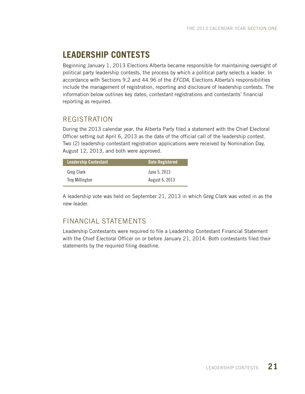## **LEADERSHIP CONTESTS**

Beginning January 1, 2013 Elections Alberta became responsible for maintaining oversight of political party leadership contests, the process by which a political party selects a leader. In accordance with Sections 9.2 and 44.96 of the *EFCDA*, Elections Alberta's responsibilities include the management of registration, reporting and disclosure of leadership contests. The information below outlines key dates, contestant registrations and contestants' financial reporting as required.

#### REGISTRATION

During the 2013 calendar year, the Alberta Party filed a statement with the Chief Electoral Officer setting out April 6, 2013 as the date of the official call of the leadership contest. Two (2) leadership contestant registration applications were received by Nomination Day, August 12, 2013, and both were approved.

| <b>Leadership Contestant</b> | <b>Date Registered</b> |
|------------------------------|------------------------|
| Greg Clark                   | June 5, 2013           |
| <b>Troy Millington</b>       | August 6, 2013         |

A leadership vote was held on September 21, 2013 in which Greg Clark was voted in as the new leader.

## FINANCIAL STATEMENTS

Leadership Contestants were required to file a Leadership Contestant Financial Statement with the Chief Electoral Officer on or before January 21, 2014. Both contestants filed their statements by the required filing deadline.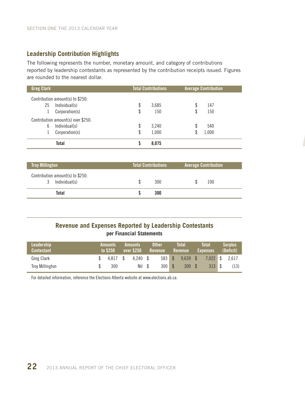|                        | SECTION ONE THE 2013 CALENDAR YEAR                                                                                                                                                    |          |                            |                             |
|------------------------|---------------------------------------------------------------------------------------------------------------------------------------------------------------------------------------|----------|----------------------------|-----------------------------|
|                        |                                                                                                                                                                                       |          |                            |                             |
|                        | <b>Leadership Contribution Highlights</b>                                                                                                                                             |          |                            |                             |
|                        | The following represents the number, monetary amount, and category of contributions<br>reported by leadership contestants as represented by the contribution receipts issued. Figures |          |                            |                             |
|                        | are rounded to the nearest dollar.                                                                                                                                                    |          |                            |                             |
| <b>Greg Clark</b>      |                                                                                                                                                                                       |          | <b>Total Contributions</b> | <b>Average Contribution</b> |
|                        | Contribution amount(s) to \$250:                                                                                                                                                      |          |                            |                             |
| 25                     | Individual(s)<br>Corporation(s)                                                                                                                                                       | \$<br>\$ | 3,685<br>150               | 147<br>150                  |
|                        | Contribution amount(s) over \$250:                                                                                                                                                    |          |                            |                             |
| 6                      | Individual(s)                                                                                                                                                                         | \$       | 3,240                      | 540                         |
|                        | Corporation(s)                                                                                                                                                                        | \$       | 1,000                      | 1,000                       |
|                        | <b>Total</b>                                                                                                                                                                          |          | 8,075                      |                             |
|                        |                                                                                                                                                                                       |          |                            |                             |
| <b>Troy Millington</b> |                                                                                                                                                                                       |          | <b>Total Contributions</b> | <b>Average Contribution</b> |
| 3                      | Contribution amount(s) to \$250:<br>Individual(s)                                                                                                                                     | \$       | 300                        | \$<br>100                   |

| <b>Troy Millington</b>                                 | <b>Total Contributions</b> | <b>Average Contribution</b> |
|--------------------------------------------------------|----------------------------|-----------------------------|
| Contribution amount(s) to \$250:<br>Individual(s)<br>3 | 300                        | 100                         |
| Total                                                  | 300                        |                             |

#### **Revenue and Expenses Reported by Leadership Contestants per Financial Statements**

| <b>Leadership</b><br><b>Contestant</b> | <b>Amounts</b><br>to \$250 | <b>Amounts</b><br>over \$250 | <b>Other</b><br><b>Revenue</b> | <b>Total</b><br><b>Revenue</b> |          | <b>Total</b><br><b>Expenses</b> | <b>Surplus</b><br>(Deficit) |
|----------------------------------------|----------------------------|------------------------------|--------------------------------|--------------------------------|----------|---------------------------------|-----------------------------|
| Greg Clark                             | 4.817                      | 4.240 S                      | $583 \text{ }$ \$              | 9,639                          | <b>S</b> | $7,022$ \$                      | 2.617                       |
| <b>Troy Millington</b>                 | 300                        | Nil \$                       | 300                            | 300                            |          | 313S                            | (13)                        |

For detailed information, reference the Elections Alberta website at www.elections.ab.ca.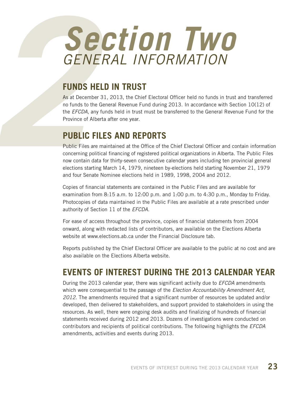# **2FUNDS HELD IN TRUST**<br>**2FUNDS HELD IN TRUST**<br>As at December 31, 2013, the Chief<br>no funds to the General Revenue Fur<br>the *EFCDA*, any funds held in trust n<br>Province of Alberta after one year.<br>**PUBLIC FILES AND REP**<br>Pub *Section Two GENERAL INFORMATION*

As at December 31, 2013, the Chief Electoral Officer held no funds in trust and transferred no funds to the General Revenue Fund during 2013. In accordance with Section 10(12) of the *EFCDA*, any funds held in trust must be transferred to the General Revenue Fund for the Province of Alberta after one year.

## **PUBLIC FILES AND REPORTS**

Public Files are maintained at the Office of the Chief Electoral Officer and contain information concerning political financing of registered political organizations in Alberta. The Public Files now contain data for thirty-seven consecutive calendar years including ten provincial general elections starting March 14, 1979, nineteen by-elections held starting November 21, 1979 and four Senate Nominee elections held in 1989, 1998, 2004 and 2012.

Copies of financial statements are contained in the Public Files and are available for examination from 8:15 a.m. to 12:00 p.m. and 1:00 p.m. to 4:30 p.m., Monday to Friday. Photocopies of data maintained in the Public Files are available at a rate prescribed under authority of Section 11 of the *EFCDA.*

For ease of access throughout the province, copies of financial statements from 2004 onward, along with redacted lists of contributors, are available on the Elections Alberta website at www.elections.ab.ca under the Financial Disclosure tab.

Reports published by the Chief Electoral Officer are available to the public at no cost and are also available on the Elections Alberta website.

## **EVENTS OF INTEREST DURING THE 2013 CALENDAR YEAR**

During the 2013 calendar year, there was significant activity due to *EFCDA* amendments which were consequential to the passage of the *Election Accountability Amendment Act, 2012*. The amendments required that a significant number of resources be updated and/or developed, then delivered to stakeholders, and support provided to stakeholders in using the resources. As well, there were ongoing desk audits and finalizing of hundreds of financial statements received during 2012 and 2013. Dozens of investigations were conducted on contributors and recipients of political contributions. The following highlights the *EFCDA* amendments, activities and events during 2013.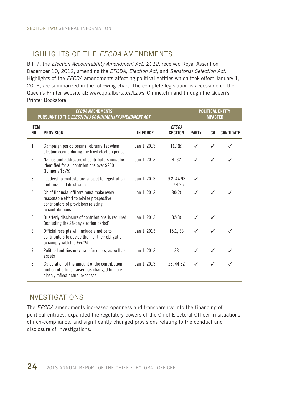## HIGHLIGHTS OF THE *EFCDA* AMENDMENTS

Bill 7, the *Election Accountability Amendment Act, 2012*, received Royal Assent on December 10, 2012, amending the *EFCDA, Election Act*, and *Senatorial Selection Act*. Highlights of the *EFCDA* amendments affecting political entities which took effect January 1, 2013, are summarized in the following chart. The complete legislation is accessible on the Queen's Printer website at: www.qp.alberta.ca/Laws\_Online.cfm and through the Queen's Printer Bookstore.

|                       | <b>EFCDA AMENDMENTS</b><br>PURSUANT TO THE ELECTION ACCOUNTABILITY AMENDMENT ACT                                                               | <b>POLITICAL ENTITY</b><br><b>IMPACTED</b> |                                |              |                          |           |
|-----------------------|------------------------------------------------------------------------------------------------------------------------------------------------|--------------------------------------------|--------------------------------|--------------|--------------------------|-----------|
| <b>ITEM</b><br>NO.    | <b>PROVISION</b>                                                                                                                               | <b>IN FORCE</b>                            | <b>EFCDA</b><br><b>SECTION</b> | <b>PARTY</b> | СA                       | CANDIDATF |
| 1.                    | Campaign period begins February 1st when<br>election occurs during the fixed election period                                                   | Jan 1, 2013                                | 1(1)(b)                        | ✓            |                          |           |
| $\mathcal{P}_{\cdot}$ | Names and addresses of contributors must be<br>identified for all contributions over \$250<br>(formerly \$375)                                 | Jan 1, 2013                                | 4,32                           |              | ✓                        |           |
| 3.                    | Leadership contests are subject to registration<br>and financial disclosure                                                                    | Jan 1, 2013                                | 9.2, 44.93<br>to 44.96         | ✓            |                          |           |
| 4.                    | Chief financial officers must make every<br>reasonable effort to advise prospective<br>contributors of provisions relating<br>to contributions | Jan 1, 2013                                | 30(2)                          |              |                          |           |
| 5.                    | Quarterly disclosure of contributions is required<br>(excluding the 28-day election period)                                                    | Jan 1, 2013                                | 32(3)                          |              |                          |           |
| 6.                    | Official receipts will include a notice to<br>contributors to advise them of their obligation<br>to comply with the EFCDA                      | Jan 1, 2013                                | 15.1, 33                       |              |                          |           |
| 7.                    | Political entities may transfer debts, as well as<br>assets                                                                                    | Jan 1, 2013                                | 38                             | ✓            |                          |           |
| 8.                    | Calculation of the amount of the contribution<br>portion of a fund-raiser has changed to more<br>closely reflect actual expenses               | Jan 1, 2013                                | 23, 44.32                      | ✓            | $\overline{\mathscr{S}}$ |           |

#### INVESTIGATIONS

The *EFCDA* amendments increased openness and transparency into the financing of political entities, expanded the regulatory powers of the Chief Electoral Officer in situations of non-compliance, and significantly changed provisions relating to the conduct and disclosure of investigations.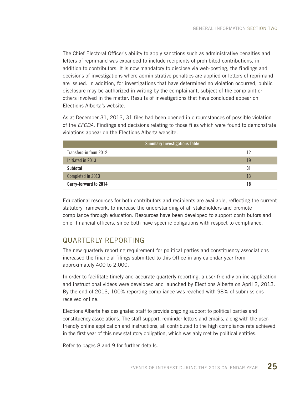The Chief Electoral Officer's ability to apply sanctions such as administrative penalties and letters of reprimand was expanded to include recipients of prohibited contributions, in addition to contributors. It is now mandatory to disclose via web-posting, the findings and decisions of investigations where administrative penalties are applied or letters of reprimand are issued. In addition, for investigations that have determined no violation occurred, public disclosure may be authorized in writing by the complainant, subject of the complaint or others involved in the matter. Results of investigations that have concluded appear on Elections Alberta's website.

As at December 31, 2013, 31 files had been opened in circumstances of possible violation of the *EFCDA*. Findings and decisions relating to those files which were found to demonstrate violations appear on the Elections Alberta website.

| <b>Summary Investigations Table</b> |    |  |  |  |
|-------------------------------------|----|--|--|--|
| Transfers-in from 2012              | 12 |  |  |  |
| Initiated in 2013                   | 19 |  |  |  |
| Subtotal                            | 31 |  |  |  |
| Completed in 2013                   | 13 |  |  |  |
| Carry-forward to 2014               | 18 |  |  |  |

Educational resources for both contributors and recipients are available, reflecting the current statutory framework, to increase the understanding of all stakeholders and promote compliance through education. Resources have been developed to support contributors and chief financial officers, since both have specific obligations with respect to compliance.

## QUARTERLY REPORTING

The new quarterly reporting requirement for political parties and constituency associations increased the financial filings submitted to this Office in any calendar year from approximately 400 to 2,000.

In order to facilitate timely and accurate quarterly reporting, a user-friendly online application and instructional videos were developed and launched by Elections Alberta on April 2, 2013. By the end of 2013, 100% reporting compliance was reached with 98% of submissions received online.

Elections Alberta has designated staff to provide ongoing support to political parties and constituency associations. The staff support, reminder letters and emails, along with the userfriendly online application and instructions, all contributed to the high compliance rate achieved in the first year of this new statutory obligation, which was ably met by political entities.

Refer to pages 8 and 9 for further details.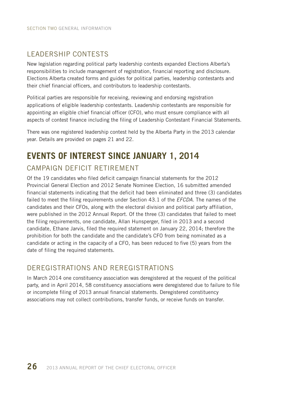## LEADERSHIP CONTESTS

New legislation regarding political party leadership contests expanded Elections Alberta's responsibilities to include management of registration, financial reporting and disclosure. Elections Alberta created forms and guides for political parties, leadership contestants and their chief financial officers, and contributors to leadership contestants.

Political parties are responsible for receiving, reviewing and endorsing registration applications of eligible leadership contestants. Leadership contestants are responsible for appointing an eligible chief financial officer (CFO), who must ensure compliance with all aspects of contest finance including the filing of Leadership Contestant Financial Statements.

There was one registered leadership contest held by the Alberta Party in the 2013 calendar year. Details are provided on pages 21 and 22.

# **EVENTS OF INTEREST SINCE JANUARY 1, 2014**

#### CAMPAIGN DEFICIT RETIREMENT

Of the 19 candidates who filed deficit campaign financial statements for the 2012 Provincial General Election and 2012 Senate Nominee Election, 16 submitted amended financial statements indicating that the deficit had been eliminated and three (3) candidates failed to meet the filing requirements under Section 43.1 of the *EFCDA*. The names of the candidates and their CFOs, along with the electoral division and political party affiliation, were published in the 2012 Annual Report. Of the three (3) candidates that failed to meet the filing requirements, one candidate, Allan Hunsperger, filed in 2013 and a second candidate, Ethane Jarvis, filed the required statement on January 22, 2014; therefore the prohibition for both the candidate and the candidate's CFO from being nominated as a candidate or acting in the capacity of a CFO, has been reduced to five (5) years from the date of filing the required statements.

## DEREGISTRATIONS AND REREGISTRATIONS

In March 2014 one constituency association was deregistered at the request of the political party, and in April 2014, 58 constituency associations were deregistered due to failure to file or incomplete filing of 2013 annual financial statements. Deregistered constituency associations may not collect contributions, transfer funds, or receive funds on transfer.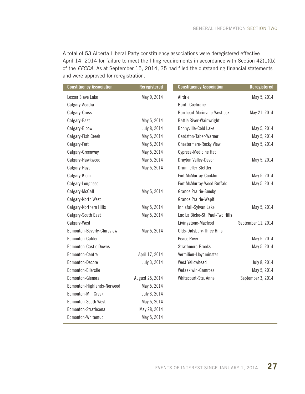A total of 53 Alberta Liberal Party constituency associations were deregistered effective April 14, 2014 for failure to meet the filing requirements in accordance with Section 42(1)(b) of the *EFCDA*. As at September 15, 2014, 35 had filed the outstanding financial statements and were approved for reregistration.

| <b>Constituency Association</b> | Reregistered    | <b>Constituency Association</b> | Reregistered       |
|---------------------------------|-----------------|---------------------------------|--------------------|
| Lesser Slave Lake               | May 9, 2014     | Airdrie                         | May 5, 2014        |
| Calgary-Acadia                  |                 | <b>Banff-Cochrane</b>           |                    |
| Calgary-Cross                   |                 | Barrhead-Morinville-Westlock    | May 21, 2014       |
| Calgary-East                    | May 5, 2014     | <b>Battle River-Wainwright</b>  |                    |
| Calgary-Elbow                   | July 8, 2014    | Bonnyville-Cold Lake            | May 5, 2014        |
| Calgary-Fish Creek              | May 5, 2014     | Cardston-Taber-Warner           | May 5, 2014        |
| Calgary-Fort                    | May 5, 2014     | Chestermere-Rocky View          | May 5, 2014        |
| Calgary-Greenway                | May 5, 2014     | Cypress-Medicine Hat            |                    |
| Calgary-Hawkwood                | May 5, 2014     | Drayton Valley-Devon            | May 5, 2014        |
| Calgary-Hays                    | May 5, 2014     | Drumheller-Stettler             |                    |
| Calgary-Klein                   |                 | Fort McMurray-Conklin           | May 5, 2014        |
| Calgary-Lougheed                |                 | Fort McMurray-Wood Buffalo      | May 5, 2014        |
| Calgary-McCall                  | May 5, 2014     | <b>Grande Prairie-Smoky</b>     |                    |
| Calgary-North West              |                 | Grande Prairie-Wapiti           |                    |
| Calgary-Northern Hills          | May 5, 2014     | Innisfail-Sylvan Lake           | May 5, 2014        |
| Calgary-South East              | May 5, 2014     | Lac La Biche-St. Paul-Two Hills |                    |
| Calgary-West                    |                 | Livingstone-Macleod             | September 11, 2014 |
| Edmonton-Beverly-Clareview      | May 5, 2014     | Olds-Didsbury-Three Hills       |                    |
| Edmonton-Calder                 |                 | Peace River                     | May 5, 2014        |
| <b>Edmonton-Castle Downs</b>    |                 | Strathmore-Brooks               | May 5, 2014        |
| <b>Edmonton-Centre</b>          | April 17, 2014  | Vermilion-Lloydminster          |                    |
| Edmonton-Decore                 | July 3, 2014    | <b>West Yellowhead</b>          | July 8, 2014       |
| Edmonton-Ellerslie              |                 | Wetaskiwin-Camrose              | May 5, 2014        |
| Edmonton-Glenora                | August 25, 2014 | Whitecourt-Ste. Anne            | September 3, 2014  |
| Edmonton-Highlands-Norwood      | May 5, 2014     |                                 |                    |
| Edmonton-Mill Creek             | July 3, 2014    |                                 |                    |
| Edmonton-South West             | May 5, 2014     |                                 |                    |
| Edmonton-Strathcona             | May 28, 2014    |                                 |                    |
| Edmonton-Whitemud               | May 5, 2014     |                                 |                    |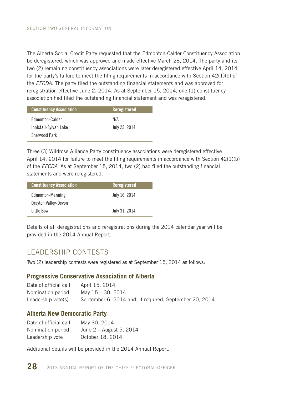**3** The Alberta Social Credit Party requested that the Edmonton-Calder Constituency Association<br> **3** The Alberta Social Credit Party requested that the Edmonton-Calder Constituency Association<br>
two (2) remaining constituen be deregistered, which was approved and made effective March 28, 2014. The party and its two (2) remaining constituency associations were later deregistered effective April 14, 2014 for the party's failure to meet the filing requirements in accordance with Section 42(1)(b) of the *EFCDA.* The party filed the outstanding financial statements and was approved for reregistration effective June 2, 2014. As at September 15, 2014, one (1) constituency association had filed the outstanding financial statement and was reregistered.

| <b>Constituency Association</b> | Reregistered  |
|---------------------------------|---------------|
| Edmonton-Calder                 | N/A           |
| Innisfail-Sylvan Lake           | July 23, 2014 |
| Sherwood Park                   |               |

Three (3) Wildrose Alliance Party constituency associations were deregistered effective April 14, 2014 for failure to meet the filing requirements in accordance with Section 42(1)(b) of the *EFCDA*. As at September 15, 2014, two (2) had filed the outstanding financial statements and were reregistered.

| <b>Constituency Association</b> | Reregistered  |
|---------------------------------|---------------|
| Edmonton-Manning                | July 16, 2014 |
| Drayton Valley-Devon            |               |
| Little Bow                      | July 31, 2014 |
|                                 |               |

Details of all deregistrations and reregistrations during the 2014 calendar year will be provided in the 2014 Annual Report.

#### LEADERSHIP CONTESTS

Two (2) leadership contests were registered as at September 15, 2014 as follows:

#### **Progressive Conservative Association of Alberta**

| Date of official call | April 15, 2014                                         |
|-----------------------|--------------------------------------------------------|
| Nomination period     | May 15 – 30, 2014                                      |
| Leadership vote(s)    | September 6, 2014 and, if required, September 20, 2014 |

#### **Alberta New Democratic Party**

| Date of official call | May 30, 2014            |
|-----------------------|-------------------------|
| Nomination period     | June 2 – August 5, 2014 |
| Leadership vote       | October 18, 2014        |

Additional details will be provided in the 2014 Annual Report.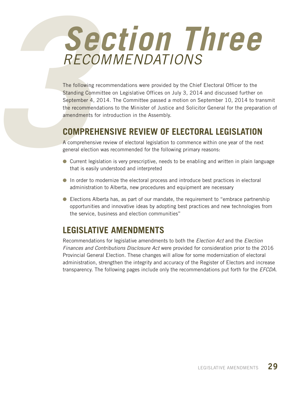# **3**The following recommendations were provided by the Chief Electoral Officer to the Standing Committee on Legislative Offices on July 3, 2014 and discussed further September 4, 2014. The Committee passed a motion on Septe *Section Three RECOMMENDATIONS*

Standing Committee on Legislative Offices on July 3, 2014 and discussed further on September 4, 2014. The Committee passed a motion on September 10, 2014 to transmit the recommendations to the Minister of Justice and Solicitor General for the preparation of amendments for introduction in the Assembly.

## **COMPREHENSIVE REVIEW OF ELECTORAL LEGISLATION**

A comprehensive review of electoral legislation to commence within one year of the next general election was recommended for the following primary reasons:

- Current legislation is very prescriptive, needs to be enabling and written in plain language that is easily understood and interpreted
- **●** In order to modernize the electoral process and introduce best practices in electoral administration to Alberta, new procedures and equipment are necessary
- **●** Elections Alberta has, as part of our mandate, the requirement to "embrace partnership opportunities and innovative ideas by adopting best practices and new technologies from the service, business and election communities"

## **LEGISLATIVE AMENDMENTS**

Recommendations for legislative amendments to both the *Election Act* and the *Election Finances and Contributions Disclosure Act* were provided for consideration prior to the 2016 Provincial General Election. These changes will allow for some modernization of electoral administration, strengthen the integrity and accuracy of the Register of Electors and increase transparency. The following pages include only the recommendations put forth for the *EFCDA*.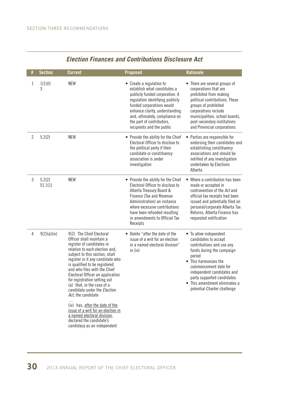| #           | <b>Section</b>    | <b>Current</b>                                                                                                                                                                                                                                                                                                                                                                                                                                                                                                                                                                                           | <b>Proposed</b>                                                                                                                                                                                                                                                                          | <b>Rationale</b>                                                                                                                                                                                                                                                                                 |
|-------------|-------------------|----------------------------------------------------------------------------------------------------------------------------------------------------------------------------------------------------------------------------------------------------------------------------------------------------------------------------------------------------------------------------------------------------------------------------------------------------------------------------------------------------------------------------------------------------------------------------------------------------------|------------------------------------------------------------------------------------------------------------------------------------------------------------------------------------------------------------------------------------------------------------------------------------------|--------------------------------------------------------------------------------------------------------------------------------------------------------------------------------------------------------------------------------------------------------------------------------------------------|
| $\mathbf 1$ | 1(1)(I)<br>3      | <b>NEW</b>                                                                                                                                                                                                                                                                                                                                                                                                                                                                                                                                                                                               | • Create a regulation to<br>establish what constitutes a<br>publicly funded corporation. A<br>regulation identifying publicly<br>funded corporations would<br>enhance clarity, understanding<br>and, ultimately, compliance on<br>the part of contributors,<br>recipients and the public | • There are several groups of<br>corporations that are<br>prohibited from making<br>political contributions. These<br>groups of prohibited<br>corporations include<br>municipalities, school boards,<br>post-secondary institutions<br>and Provincial corporations                               |
| 2           | 5.2(2)            | <b>NEW</b>                                                                                                                                                                                                                                                                                                                                                                                                                                                                                                                                                                                               | • Provide the ability for the Chief<br>Electoral Officer to disclose to<br>the political party if their<br>candidate or constituency<br>association is under<br>investigation                                                                                                            | • Parties are responsible for<br>endorsing their candidates and<br>establishing constituency<br>associations and should be<br>notified of any investigation<br>undertaken by Elections<br>Alberta                                                                                                |
| 3           | 5.2(2)<br>51.1(1) | NEW                                                                                                                                                                                                                                                                                                                                                                                                                                                                                                                                                                                                      | • Provide the ability for the Chief<br>Electoral Officer to disclose to<br>Alberta Treasury Board &<br><b>Finance (Tax and Revenue</b><br>Administration) an instance<br>where excessive contributions<br>have been refunded resulting<br>in amendments to Official Tax<br>Receipts      | • Where a contribution has been<br>made or accepted in<br>contravention of the Act and<br>official tax receipts had been<br>issued and potentially filed on<br>personal/corporate Alberta Tax<br>Returns, Alberta Finance has<br>requested notification                                          |
| 4           | 9(2)(a)(iv)       | 9(2) The Chief Electoral<br>Officer shall maintain a<br>register of candidates in<br>relation to each election and,<br>subject to this section, shall<br>register in it any candidate who<br>is qualified to be registered<br>and who files with the Chief<br>Electoral Officer an application<br>for registration setting out<br>(a) that, in the case of a<br>candidate under the <i>Election</i><br>Act, the candidate<br>$\cdots$<br>(iv) has, after the date of the<br>issue of a writ for an election in<br>a named electoral division.<br>declared the candidate's<br>candidacy as an independent | • Delete "after the date of the<br>issue of a writ for an election<br>in a named electoral division"<br>in (iv)                                                                                                                                                                          | • To allow independent<br>candidates to accept<br>contributions and use any<br>funds during the campaign<br>period<br>• This harmonizes the<br>commencement date for<br>independent candidates and<br>party supported candidates<br>• This amendment eliminates a<br>potential Charter challenge |

## *Election Finances and Contributions Disclosure Act*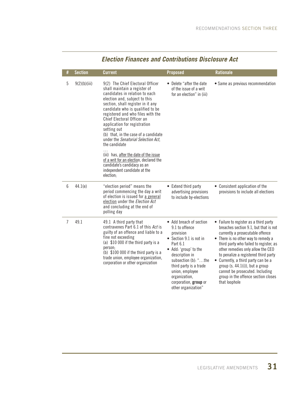| #              | <b>Section</b> | <b>Current</b>                                                                                                                                                                                                                                                                                                                                                                                                                 | <b>Proposed</b>                                                                                                                                                                                                                                                                | <b>Rationale</b>                                                                                                                                                                                                                                                                                                                                                                                                                                          |
|----------------|----------------|--------------------------------------------------------------------------------------------------------------------------------------------------------------------------------------------------------------------------------------------------------------------------------------------------------------------------------------------------------------------------------------------------------------------------------|--------------------------------------------------------------------------------------------------------------------------------------------------------------------------------------------------------------------------------------------------------------------------------|-----------------------------------------------------------------------------------------------------------------------------------------------------------------------------------------------------------------------------------------------------------------------------------------------------------------------------------------------------------------------------------------------------------------------------------------------------------|
| 5              | 9(2)(b)(iii)   | 9(2) The Chief Electoral Officer<br>shall maintain a register of<br>candidates in relation to each<br>election and, subject to this<br>section, shall register in it any<br>candidate who is qualified to be<br>registered and who files with the<br>Chief Electoral Officer an<br>application for registration<br>setting out<br>(b) that, in the case of a candidate<br>under the Senatorial Selection Act,<br>the candidate | • Delete "after the date<br>of the issue of a writ<br>for an election" in (iii)                                                                                                                                                                                                | • Same as previous recommendation                                                                                                                                                                                                                                                                                                                                                                                                                         |
|                |                | $\cdots$<br>(iii) has, after the date of the issue<br>of a writ for an election, declared the<br>candidate's candidacy as an<br>independent candidate at the<br>election;                                                                                                                                                                                                                                                      |                                                                                                                                                                                                                                                                                |                                                                                                                                                                                                                                                                                                                                                                                                                                                           |
| 6              | 44.1(e)        | "election period" means the<br>period commencing the day a writ<br>of election is issued for a general<br>election under the Election Act<br>and concluding at the end of<br>polling day                                                                                                                                                                                                                                       | • Extend third party<br>advertising provisions<br>to include by-elections                                                                                                                                                                                                      | • Consistent application of the<br>provisions to include all elections                                                                                                                                                                                                                                                                                                                                                                                    |
| $\overline{7}$ | 49.1           | 49.1 A third party that<br>contravenes Part 6.1 of this Act is<br>guilty of an offence and liable to a<br>fine not exceeding<br>(a) \$10 000 if the third party is a<br>person;<br>(b) \$100 000 if the third party is a<br>trade union, employee organization,<br>corporation or other organization                                                                                                                           | • Add breach of section<br>9.1 to offence<br>provision<br>• Section 9.1 is not in<br>Part 6.1<br>• Add: 'group' to the<br>description in<br>subsection (b): "the<br>third party is a trade<br>union, employee<br>organization,<br>corporation, group or<br>other organization" | • Failure to register as a third party<br>breaches section 9.1, but that is not<br>currently a prosecutable offence<br>• There is no other way to remedy a<br>third party who failed to register, as<br>other remedies only allow the CEO<br>to penalize a registered third party<br>• Currently, a third party can be a<br>group $(s. 44.1(i))$ , but a group<br>cannot be prosecuted. Including<br>group in the offence section closes<br>that loophole |

## *Election Finances and Contributions Disclosure Act*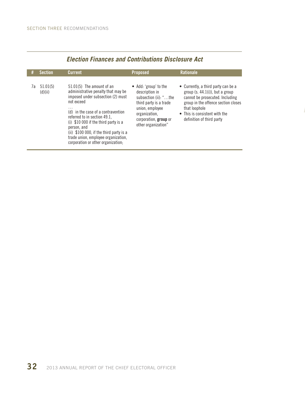## *Election Finances and Contributions Disclosure Act*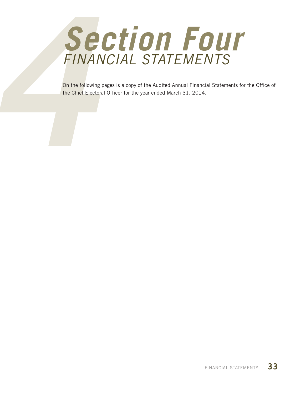

the Chief Electoral Officer for the year ended March 31, 2014.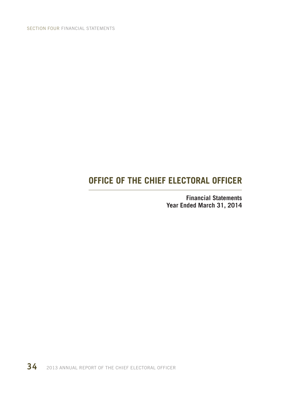SECTION FOUR FINANCIAL STATEMENTS

## **OFFICE OF THE CHIEF ELECTORAL OFFICER**

**Financial Statements Year Ended March 31, 2014**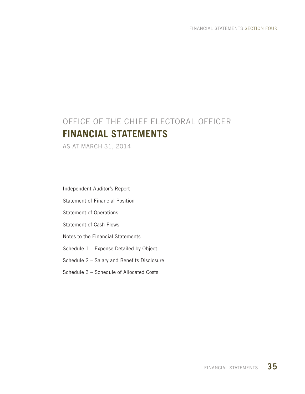# OFFICE OF THE CHIEF ELECTORAL OFFICER **FINANCIAL STATEMENTS**

AS AT MARCH 31, 2014

Independent Auditor's Report

Statement of Financial Position

Statement of Operations

Statement of Cash Flows

Notes to the Financial Statements

Schedule 1 – Expense Detailed by Object

Schedule 2 – Salary and Benefits Disclosure

Schedule 3 – Schedule of Allocated Costs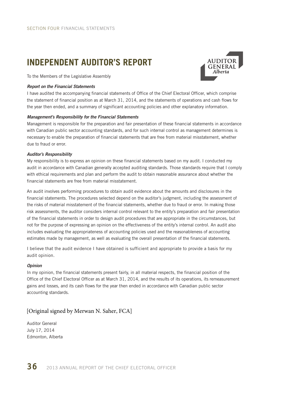## **INDEPENDENT AUDITOR'S REPORT**



To the Members of the Legislative Assembly

#### *Report on the Financial Statements*

I have audited the accompanying financial statements of Office of the Chief Electoral Officer, which comprise the statement of financial position as at March 31, 2014, and the statements of operations and cash flows for the year then ended, and a summary of significant accounting policies and other explanatory information.

#### *Management's Responsibility for the Financial Statements*

Management is responsible for the preparation and fair presentation of these financial statements in accordance with Canadian public sector accounting standards, and for such internal control as management determines is necessary to enable the preparation of financial statements that are free from material misstatement, whether due to fraud or error.

#### *Auditor's Responsibility*

My responsibility is to express an opinion on these financial statements based on my audit. I conducted my audit in accordance with Canadian generally accepted auditing standards. Those standards require that I comply with ethical requirements and plan and perform the audit to obtain reasonable assurance about whether the financial statements are free from material misstatement.

An audit involves performing procedures to obtain audit evidence about the amounts and disclosures in the financial statements. The procedures selected depend on the auditor's judgment, including the assessment of the risks of material misstatement of the financial statements, whether due to fraud or error. In making those risk assessments, the auditor considers internal control relevant to the entity's preparation and fair presentation of the financial statements in order to design audit procedures that are appropriate in the circumstances, but not for the purpose of expressing an opinion on the effectiveness of the entity's internal control. An audit also includes evaluating the appropriateness of accounting policies used and the reasonableness of accounting estimates made by management, as well as evaluating the overall presentation of the financial statements.

I believe that the audit evidence I have obtained is sufficient and appropriate to provide a basis for my audit opinion.

#### *Opinion*

In my opinion, the financial statements present fairly, in all material respects, the financial position of the Office of the Chief Electoral Officer as at March 31, 2014, and the results of its operations, its remeasurement gains and losses, and its cash flows for the year then ended in accordance with Canadian public sector accounting standards.

[Original signed by Merwan N. Saher, FCA]

Auditor General July 17, 2014 Edmonton, Alberta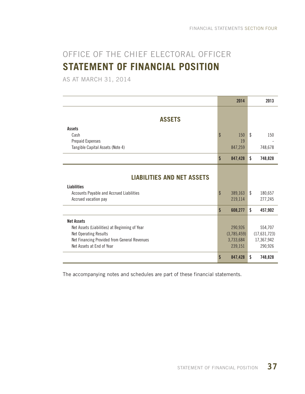# OFFICE OF THE CHIEF ELECTORAL OFFICER **STATEMENT OF FINANCIAL POSITION**

AS AT MARCH 31, 2014

|                                                                                                                             | 2014                     | 2013                     |
|-----------------------------------------------------------------------------------------------------------------------------|--------------------------|--------------------------|
| <b>ASSETS</b>                                                                                                               |                          |                          |
| <b>Assets</b>                                                                                                               |                          |                          |
| Cash                                                                                                                        | \$<br>150                | \$<br>150                |
| Prepaid Expenses                                                                                                            | 19                       |                          |
| Tangible Capital Assets (Note 4)                                                                                            | 847,259                  | 748,678                  |
|                                                                                                                             | \$<br>847,428            | \$<br>748,828            |
| <b>LIABILITIES AND NET ASSETS</b><br><b>Liabilities</b><br>Accounts Payable and Accrued Liabilities<br>Accrued vacation pay | \$<br>389,163<br>219,114 | \$<br>180,657<br>277,245 |
|                                                                                                                             | \$<br>608,277            | \$<br>457,902            |
| <b>Net Assets</b>                                                                                                           |                          |                          |
| Net Assets (Liabilities) at Beginning of Year                                                                               | 290,926                  | 554,707                  |
| <b>Net Operating Results</b>                                                                                                | (3,785,459)              | (17,631,723)             |
| Net Financing Provided from General Revenues                                                                                | 3,733,684                | 17,367,942               |
| Net Assets at End of Year                                                                                                   | 239,151                  | 290,926                  |
|                                                                                                                             | \$<br>847,428            | \$<br>748,828            |

The accompanying notes and schedules are part of these financial statements.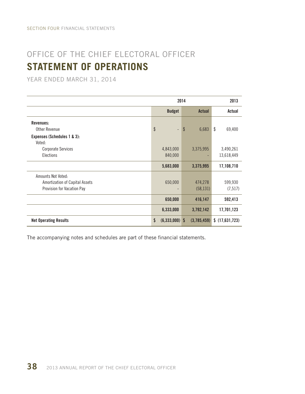# OFFICE OF THE CHIEF ELECTORAL OFFICER **STATEMENT OF OPERATIONS**

YEAR ENDED MARCH 31, 2014

|                                       | 2014                           | 2013                  |                                 |
|---------------------------------------|--------------------------------|-----------------------|---------------------------------|
|                                       | <b>Budget</b>                  | <b>Actual</b>         | Actual                          |
| Revenues:                             |                                |                       |                                 |
| Other Revenue                         | \$<br>$\overline{\phantom{0}}$ | $\sqrt[6]{}$<br>6,683 | \$<br>69,400                    |
| Expenses (Schedules 1 & 3):<br>Voted: |                                |                       |                                 |
| <b>Corporate Services</b>             | 4,843,000                      | 3,375,995             | 3,490,261                       |
| <b>Elections</b>                      | 840,000                        |                       | 13,618,449                      |
|                                       | 5,683,000                      | 3,375,995             | 17,108,710                      |
| Amounts Not Voted:                    |                                |                       |                                 |
| Amortization of Capital Assets        | 650,000                        | 474,278               | 599,930                         |
| Provision for Vacation Pay            |                                | (58, 131)             | (7, 517)                        |
|                                       | 650,000                        | 416,147               | 592,413                         |
|                                       | 6,333,000                      | 3,792,142             | 17,701,123                      |
| <b>Net Operating Results</b>          | \$<br>$(6,333,000)$ \$         |                       | $(3,785,459)$ \$ $(17,631,723)$ |

The accompanying notes and schedules are part of these financial statements.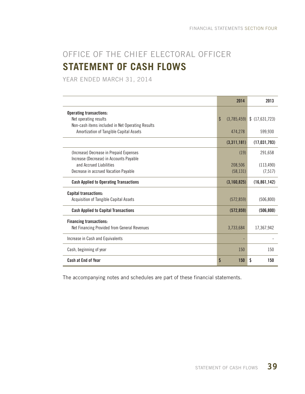# OFFICE OF THE CHIEF ELECTORAL OFFICER **STATEMENT OF CASH FLOWS**

YEAR ENDED MARCH 31, 2014

|                                                  | 2014              | 2013           |
|--------------------------------------------------|-------------------|----------------|
| <b>Operating transactions:</b>                   |                   |                |
| Net operating results                            | \$<br>(3,785,459) | \$(17,631,723) |
| Non-cash items included in Net Operating Results |                   |                |
| Amortization of Tangible Capital Assets          | 474,278           | 599,930        |
|                                                  | (3,311,181)       | (17,031,793)   |
| (Increase) Decrease in Prepaid Expenses          | (19)              | 291,658        |
| Increase (Decrease) in Accounts Payable          |                   |                |
| and Accrued Liabilities                          | 208,506           | (113, 490)     |
| Decrease in accrued Vacation Payable             | (58, 131)         | (7, 517)       |
| <b>Cash Applied to Operating Transactions</b>    | (3, 160, 825)     | (16, 861, 142) |
| <b>Capital transactions:</b>                     |                   |                |
| Acquisition of Tangible Capital Assets           | (572, 859)        | (506, 800)     |
| <b>Cash Applied to Capital Transactions</b>      | (572, 859)        | (506, 800)     |
| <b>Financing transactions:</b>                   |                   |                |
| Net Financing Provided from General Revenues     | 3,733,684         | 17,367,942     |
| Increase in Cash and Equivalents                 |                   |                |
| Cash, beginning of year                          | 150               | 150            |
| <b>Cash at End of Year</b>                       | \$<br>150         | 150<br>S       |

The accompanying notes and schedules are part of these financial statements.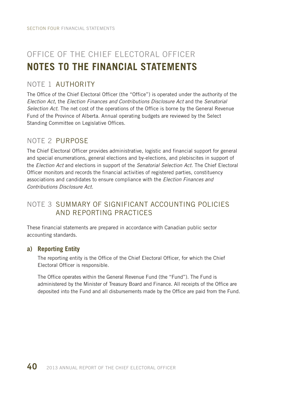# OFFICE OF THE CHIEF ELECTORAL OFFICER **NOTES TO THE FINANCIAL STATEMENTS**

#### NOTE 1 AUTHORITY

The Office of the Chief Electoral Officer (the "Office") is operated under the authority of the *Election Act*, the *Election Finances and Contributions Disclosure Act* and the *Senatorial Selection Act*. The net cost of the operations of the Office is borne by the General Revenue Fund of the Province of Alberta. Annual operating budgets are reviewed by the Select Standing Committee on Legislative Offices.

#### NOTE 2 PURPOSE

The Chief Electoral Officer provides administrative, logistic and financial support for general and special enumerations, general elections and by-elections, and plebiscites in support of the *Election Act* and elections in support of the *Senatorial Selection Act*. The Chief Electoral Officer monitors and records the financial activities of registered parties, constituency associations and candidates to ensure compliance with the *Election Finances and Contributions Disclosure Act.*

#### NOTE 3 SUMMARY OF SIGNIFICANT ACCOUNTING POLICIES AND REPORTING PRACTICES

These financial statements are prepared in accordance with Canadian public sector accounting standards.

#### **a) Reporting Entity**

The reporting entity is the Office of the Chief Electoral Officer, for which the Chief Electoral Officer is responsible.

The Office operates within the General Revenue Fund (the "Fund"). The Fund is administered by the Minister of Treasury Board and Finance. All receipts of the Office are deposited into the Fund and all disbursements made by the Office are paid from the Fund.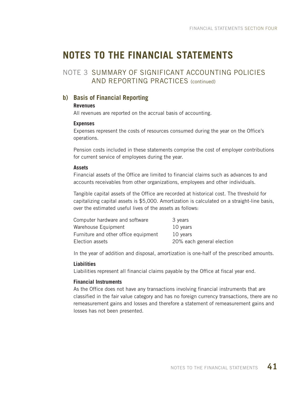#### NOTE 3 SUMMARY OF SIGNIFICANT ACCOUNTING POLICIES AND REPORTING PRACTICES (continued)

#### **b) Basis of Financial Reporting**

#### **Revenues**

All revenues are reported on the accrual basis of accounting.

#### **Expenses**

Expenses represent the costs of resources consumed during the year on the Office's operations.

Pension costs included in these statements comprise the cost of employer contributions for current service of employees during the year.

#### **Assets**

Financial assets of the Office are limited to financial claims such as advances to and accounts receivables from other organizations, employees and other individuals.

Tangible capital assets of the Office are recorded at historical cost. The threshold for capitalizing capital assets is \$5,000. Amortization is calculated on a straight-line basis, over the estimated useful lives of the assets as follows:

| Computer hardware and software       | 3 years                   |
|--------------------------------------|---------------------------|
| Warehouse Equipment                  | 10 years                  |
| Furniture and other office equipment | 10 years                  |
| Election assets                      | 20% each general election |

In the year of addition and disposal, amortization is one-half of the prescribed amounts.

#### **Liabilities**

Liabilities represent all financial claims payable by the Office at fiscal year end.

#### **Financial Instruments**

As the Office does not have any transactions involving financial instruments that are classified in the fair value category and has no foreign currency transactions, there are no remeasurement gains and losses and therefore a statement of remeasurement gains and losses has not been presented.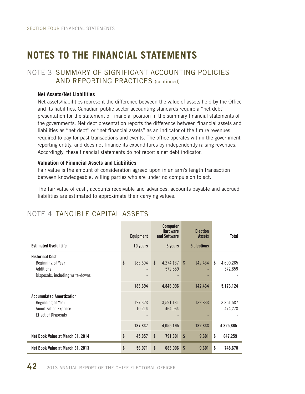#### NOTE 3 SUMMARY OF SIGNIFICANT ACCOUNTING POLICIES AND REPORTING PRACTICES (continued)

#### **Net Assets/Net Liabilities**

Net assets/liabilities represent the difference between the value of assets held by the Office and its liabilities. Canadian public sector accounting standards require a "net debt" presentation for the statement of financial position in the summary financial statements of the governments. Net debt presentation reports the difference between financial assets and liabilities as "net debt" or "net financial assets" as an indicator of the future revenues required to pay for past transactions and events. The office operates within the government reporting entity, and does not finance its expenditures by independently raising revenues. Accordingly, these financial statements do not report a net debt indicator.

#### **Valuation of Financial Assets and Liabilities**

Fair value is the amount of consideration agreed upon in an arm's length transaction between knowledgeable, willing parties who are under no compulsion to act.

The fair value of cash, accounts receivable and advances, accounts payable and accrued liabilities are estimated to approximate their carrying values.

|                                  | <b>Equipment</b> | <b>Computer</b><br><b>Hardware</b><br>and Software |              | <b>Election</b><br><b>Assets</b> |    | Total                |
|----------------------------------|------------------|----------------------------------------------------|--------------|----------------------------------|----|----------------------|
| <b>Estimated Useful Life</b>     | 10 years         | 3 years                                            |              | 5 elections                      |    |                      |
| <b>Historical Cost</b>           |                  |                                                    |              |                                  |    |                      |
| Beginning of Year<br>Additions   | \$<br>183,694    | \$<br>4,274,137<br>572,859                         | $\mathbb{S}$ | 142,434                          | \$ | 4,600,265<br>572,859 |
| Disposals, including write-downs |                  |                                                    |              |                                  |    |                      |
|                                  | 183,694          | 4,846,996                                          |              | 142,434                          |    | 5,173,124            |
| <b>Accumulated Amortization</b>  |                  |                                                    |              |                                  |    |                      |
| Beginning of Year                | 127,623          | 3,591,131                                          |              | 132,833                          |    | 3,851,587            |
| <b>Amortization Expense</b>      | 10,214           | 464,064                                            |              |                                  |    | 474,278              |
| <b>Effect of Disposals</b>       |                  | $\qquad \qquad -$                                  |              |                                  |    |                      |
|                                  | 137,837          | 4,055,195                                          |              | 132,833                          |    | 4,325,865            |
| Net Book Value at March 31, 2014 | \$<br>45,857     | \$<br>791,801                                      | \$           | 9,601                            | \$ | 847,259              |
| Net Book Value at March 31, 2013 | \$<br>56.071     | \$<br>683,006                                      | S            | 9,601                            | S  | 748.678              |

## NOTE 4 TANGIBLE CAPITAL ASSETS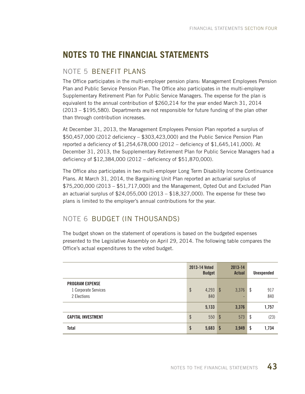#### NOTE 5 BENEFIT PLANS

The Office participates in the multi-employer pension plans: Management Employees Pension Plan and Public Service Pension Plan. The Office also participates in the multi-employer Supplementary Retirement Plan for Public Service Managers. The expense for the plan is equivalent to the annual contribution of \$260,214 for the year ended March 31, 2014 (2013 – \$195,580). Departments are not responsible for future funding of the plan other than through contribution increases.

At December 31, 2013, the Management Employees Pension Plan reported a surplus of \$50,457,000 (2012 deficiency – \$303,423,000) and the Public Service Pension Plan reported a deficiency of \$1,254,678,000 (2012 – deficiency of \$1,645,141,000). At December 31, 2013, the Supplementary Retirement Plan for Public Service Managers had a deficiency of \$12,384,000 (2012 – deficiency of \$51,870,000).

The Office also participates in two multi-employer Long Term Disability Income Continuance Plans. At March 31, 2014, the Bargaining Unit Plan reported an actuarial surplus of \$75,200,000 (2013 – \$51,717,000) and the Management, Opted Out and Excluded Plan an actuarial surplus of  $$24,055,000$  (2013 –  $$18,327,000$ ). The expense for these two plans is limited to the employer's annual contributions for the year.

#### NOTE 6 BUDGET (IN THOUSANDS)

The budget shown on the statement of operations is based on the budgeted expenses presented to the Legislative Assembly on April 29, 2014. The following table compares the Office's actual expenditures to the voted budget.

|                                                               | 2013-14 Voted<br><b>Budget</b> | 2013-14<br>Actual             | <b>Unexpended</b> |
|---------------------------------------------------------------|--------------------------------|-------------------------------|-------------------|
| <b>PROGRAM EXPENSE</b><br>1 Corporate Services<br>2 Elections | \$<br>4,293<br>840             | 3,376<br>$\sqrt{3}$           | \$<br>917<br>840  |
|                                                               | 5,133                          | 3,376                         | 1,757             |
| <b>CAPITAL INVESTMENT</b>                                     | \$<br>550                      | 573<br>$\sqrt{3}$             | \$<br>(23)        |
| Total                                                         | \$<br>5,683                    | 3,949<br>$\sqrt{\frac{2}{3}}$ | 1,734<br>\$       |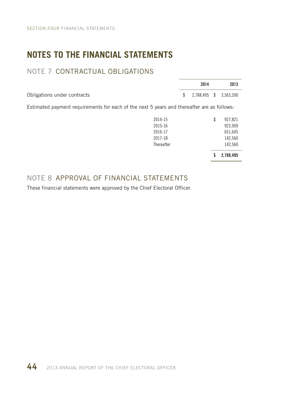### NOTE 7 CONTRACTUAL OBLIGATIONS

|                                                                                            | 2014            | 2013            |
|--------------------------------------------------------------------------------------------|-----------------|-----------------|
| Obligations under contracts                                                                | \$<br>2,788,495 | \$<br>3,563,200 |
| Estimated payment requirements for each of the next 5 years and thereafter are as follows: |                 |                 |
| 2014-15                                                                                    |                 | \$<br>927,821   |
| 2015-16                                                                                    |                 | 923,909         |
| 2016-17                                                                                    |                 | 651,645         |
| 2017-18                                                                                    |                 | 142,560         |
| Thereafter                                                                                 |                 | 142,560         |
|                                                                                            |                 | 2,788,495       |

## NOTE 8 APPROVAL OF FINANCIAL STATEMENTS

These financial statements were approved by the Chief Electoral Officer.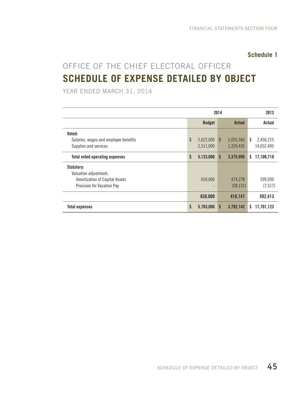**Schedule 1**

# OFFICE OF THE CHIEF ELECTORAL OFFICER **SCHEDULE OF EXPENSE DETAILED BY OBJECT**

YEAR ENDED MARCH 31, 2014

|                                       | 2014 |               |               |           |    | 2013       |
|---------------------------------------|------|---------------|---------------|-----------|----|------------|
|                                       |      | <b>Budget</b> |               | Actual    |    | Actual     |
| Voted:                                |      |               |               |           |    |            |
| Salaries, wages and employee benefits | \$   | 2,622,000     | $\mathbb{S}$  | 2,055,560 | \$ | 2,456,215  |
| Supplies and services                 |      | 2,511,000     |               | 1,320,435 |    | 14,652,495 |
| <b>Total voted operating expenses</b> | \$   | 5,133,000     | <sup>\$</sup> | 3,375,995 | \$ | 17,108,710 |
| Statutory:                            |      |               |               |           |    |            |
| Valuation adjustment:                 |      |               |               |           |    |            |
| Amortization of Capital Assets        |      | 650,000       |               | 474,278   |    | 599,930    |
| Provision for Vacation Pay            |      | -             |               | (58, 131) |    | (7,517)    |
|                                       |      | 650,000       |               | 416,147   |    | 592,413    |
| <b>Total expenses</b>                 | \$   | 5,783,000     | S             | 3,792,142 | \$ | 17,701,123 |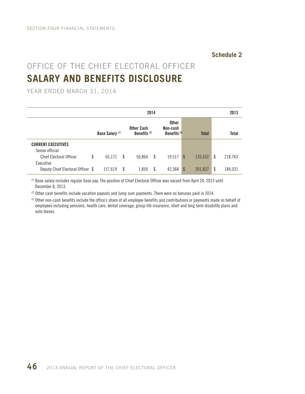#### **Schedule 2**

# OFFICE OF THE CHIEF ELECTORAL OFFICER **SALARY AND BENEFITS DISCLOSURE**

YEAR ENDED MARCH 31, 2014

|                                   | 2014                                                        |    |        |    |                                                     |                    |              |    |              |
|-----------------------------------|-------------------------------------------------------------|----|--------|----|-----------------------------------------------------|--------------------|--------------|----|--------------|
|                                   | <b>Other Cash</b><br>Base Salary (1)<br><b>Benefits (2)</b> |    |        |    | <b>Other</b><br>Non-cash<br>Benefits <sup>(3)</sup> |                    | <b>Total</b> |    | <b>Total</b> |
| <b>CURRENT EXECUTIVES</b>         |                                                             |    |        |    |                                                     |                    |              |    |              |
| Senior official                   |                                                             |    |        |    |                                                     |                    |              |    |              |
| <b>Chief Electoral Officer</b>    | \$<br>65,171                                                | \$ | 50,864 | \$ | 19.517                                              | $\mathbb{S}$       | 135,552      | \$ | 218,763      |
| Executive                         |                                                             |    |        |    |                                                     |                    |              |    |              |
| Deputy Chief Electoral Officer \$ | 157,619                                                     | \$ | 1,850  | \$ | 42,368                                              | $\mathbf{\hat{S}}$ | 201,837      | \$ | 184,031      |

(1) Base salary includes regular base pay. The position of Chief Electoral Officer was vacant from April 24, 2013 until December 8, 2013.

(2) Other cash benefits include vacation payouts and lump sum payments. There were no bonuses paid in 2014.

(3) Other non-cash benefits include the office's share of all employee benefits and contributions or payments made on behalf of employees including pensions, health care, dental coverage, group life insurance, short and long term disability plans and auto leases.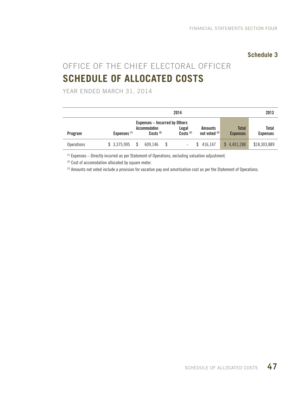#### **Schedule 3**

# OFFICE OF THE CHIEF ELECTORAL OFFICER **SCHEDULE OF ALLOCATED COSTS**

YEAR ENDED MARCH 31, 2014

| 2014              |                         |    |                                                                        |    |                               |                                   |                                 |                                 |
|-------------------|-------------------------|----|------------------------------------------------------------------------|----|-------------------------------|-----------------------------------|---------------------------------|---------------------------------|
| Program           | Expenses <sup>(1)</sup> |    | <b>Expenses - Incurred by Others</b><br>Accommodation<br>$Costs^{(2)}$ |    | Legal<br>Costs <sup>(2)</sup> | <b>Amounts</b><br>not voted $(3)$ | <b>Total</b><br><b>Expenses</b> | <b>Total</b><br><b>Expenses</b> |
| <b>Operations</b> | \$3,375,995             | \$ | 609.146                                                                | \$ | $\overline{\phantom{a}}$      | 416.147<br>S.                     | \$4,401,288                     | \$18,303,889                    |

 $(1)$  Expenses – Directly incurred as per Statement of Operations, excluding valuation adjustment.

(2) Cost of accomodation allocated by square meter.

(3) Amounts not voted include a provision for vacation pay and amortization cost as per the Statement of Operations.